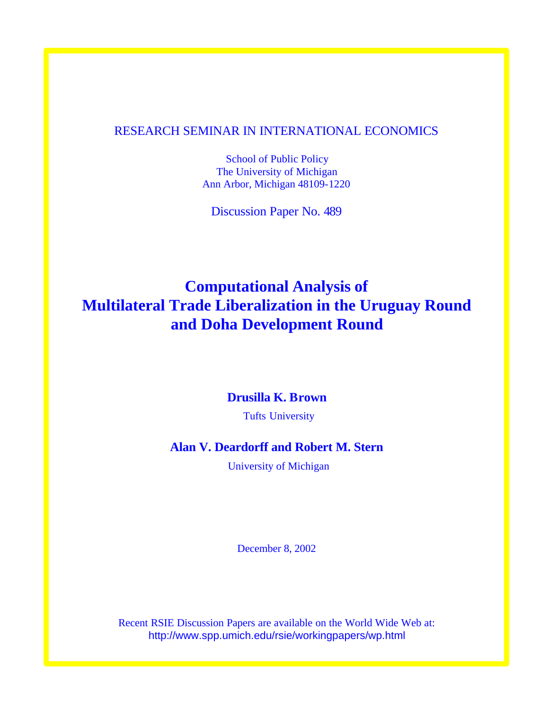## RESEARCH SEMINAR IN INTERNATIONAL ECONOMICS

School of Public Policy The University of Michigan Ann Arbor, Michigan 48109-1220

Discussion Paper No. 489

# **Computational Analysis of Multilateral Trade Liberalization in the Uruguay Round and Doha Development Round**

**Drusilla K. Brown**

Tufts University

# **Alan V. Deardorff and Robert M. Stern**

University of Michigan

December 8, 2002

Recent RSIE Discussion Papers are available on the World Wide Web at: http://www.spp.umich.edu/rsie/workingpapers/wp.html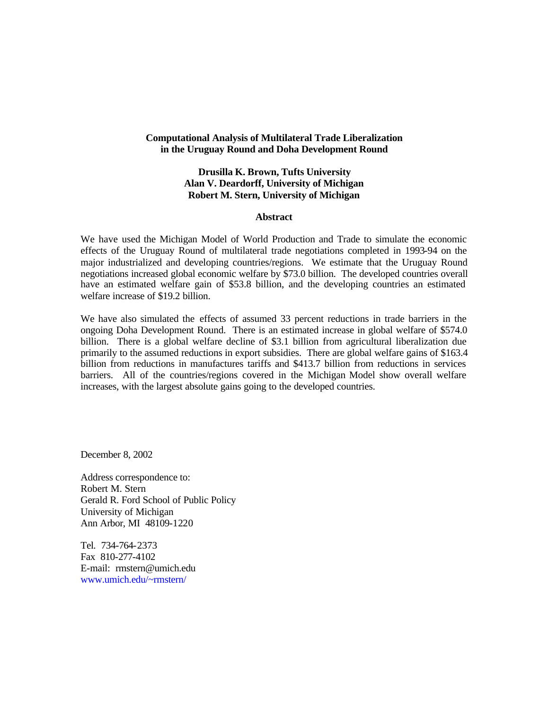## **Computational Analysis of Multilateral Trade Liberalization in the Uruguay Round and Doha Development Round**

## **Drusilla K. Brown, Tufts University Alan V. Deardorff, University of Michigan Robert M. Stern, University of Michigan**

### **Abstract**

We have used the Michigan Model of World Production and Trade to simulate the economic effects of the Uruguay Round of multilateral trade negotiations completed in 1993-94 on the major industrialized and developing countries/regions. We estimate that the Uruguay Round negotiations increased global economic welfare by \$73.0 billion. The developed countries overall have an estimated welfare gain of \$53.8 billion, and the developing countries an estimated welfare increase of \$19.2 billion.

We have also simulated the effects of assumed 33 percent reductions in trade barriers in the ongoing Doha Development Round. There is an estimated increase in global welfare of \$574.0 billion. There is a global welfare decline of \$3.1 billion from agricultural liberalization due primarily to the assumed reductions in export subsidies. There are global welfare gains of \$163.4 billion from reductions in manufactures tariffs and \$413.7 billion from reductions in services barriers. All of the countries/regions covered in the Michigan Model show overall welfare increases, with the largest absolute gains going to the developed countries.

December 8, 2002

Address correspondence to: Robert M. Stern Gerald R. Ford School of Public Policy University of Michigan Ann Arbor, MI 48109-1220

Tel. 734-764-2373 Fax 810-277-4102 E-mail: rmstern@umich.edu www.umich.edu/~rmstern/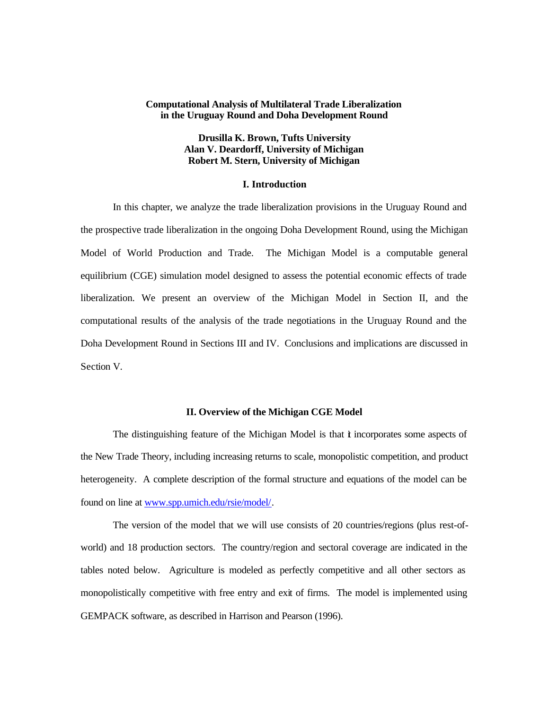### **Computational Analysis of Multilateral Trade Liberalization in the Uruguay Round and Doha Development Round**

**Drusilla K. Brown, Tufts University Alan V. Deardorff, University of Michigan Robert M. Stern, University of Michigan**

## **I. Introduction**

In this chapter, we analyze the trade liberalization provisions in the Uruguay Round and the prospective trade liberalization in the ongoing Doha Development Round, using the Michigan Model of World Production and Trade. The Michigan Model is a computable general equilibrium (CGE) simulation model designed to assess the potential economic effects of trade liberalization. We present an overview of the Michigan Model in Section II, and the computational results of the analysis of the trade negotiations in the Uruguay Round and the Doha Development Round in Sections III and IV. Conclusions and implications are discussed in Section V.

### **II. Overview of the Michigan CGE Model**

The distinguishing feature of the Michigan Model is that  $\dot{\mathbf{t}}$  incorporates some aspects of the New Trade Theory, including increasing returns to scale, monopolistic competition, and product heterogeneity. A complete description of the formal structure and equations of the model can be found on line at www.spp.umich.edu/rsie/model/.

The version of the model that we will use consists of 20 countries/regions (plus rest-ofworld) and 18 production sectors. The country/region and sectoral coverage are indicated in the tables noted below. Agriculture is modeled as perfectly competitive and all other sectors as monopolistically competitive with free entry and exit of firms. The model is implemented using GEMPACK software, as described in Harrison and Pearson (1996).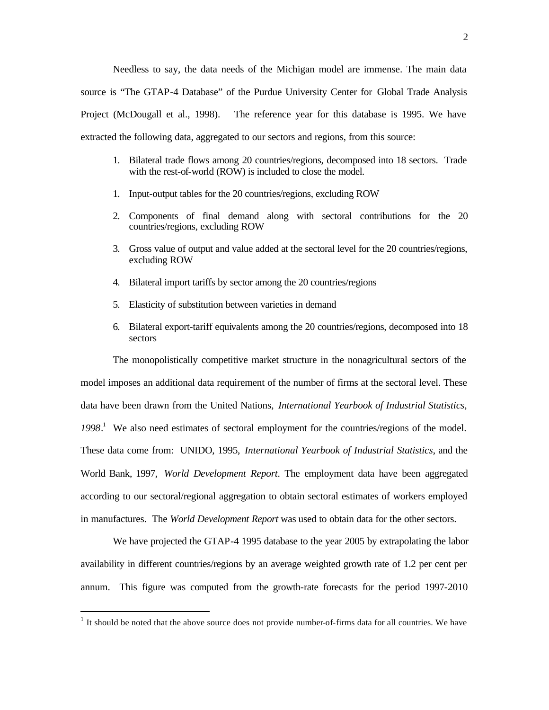Needless to say, the data needs of the Michigan model are immense. The main data source is "The GTAP-4 Database" of the Purdue University Center for Global Trade Analysis Project (McDougall et al., 1998). The reference year for this database is 1995. We have extracted the following data, aggregated to our sectors and regions, from this source:

- 1. Bilateral trade flows among 20 countries/regions, decomposed into 18 sectors. Trade with the rest-of-world (ROW) is included to close the model.
- 1. Input-output tables for the 20 countries/regions, excluding ROW
- 2. Components of final demand along with sectoral contributions for the 20 countries/regions, excluding ROW
- 3. Gross value of output and value added at the sectoral level for the 20 countries/regions, excluding ROW
- 4. Bilateral import tariffs by sector among the 20 countries/regions
- 5. Elasticity of substitution between varieties in demand
- 6. Bilateral export-tariff equivalents among the 20 countries/regions, decomposed into 18 sectors

The monopolistically competitive market structure in the nonagricultural sectors of the model imposes an additional data requirement of the number of firms at the sectoral level. These data have been drawn from the United Nations, *International Yearbook of Industrial Statistics,*  1998<sup>1</sup> We also need estimates of sectoral employment for the countries/regions of the model. These data come from: UNIDO, 1995, *International Yearbook of Industrial Statistics*, and the World Bank, 1997, *World Development Report*. The employment data have been aggregated according to our sectoral/regional aggregation to obtain sectoral estimates of workers employed in manufactures. The *World Development Report* was used to obtain data for the other sectors.

We have projected the GTAP-4 1995 database to the year 2005 by extrapolating the labor availability in different countries/regions by an average weighted growth rate of 1.2 per cent per annum. This figure was computed from the growth-rate forecasts for the period 1997-2010

 $<sup>1</sup>$  It should be noted that the above source does not provide number-of-firms data for all countries. We have</sup>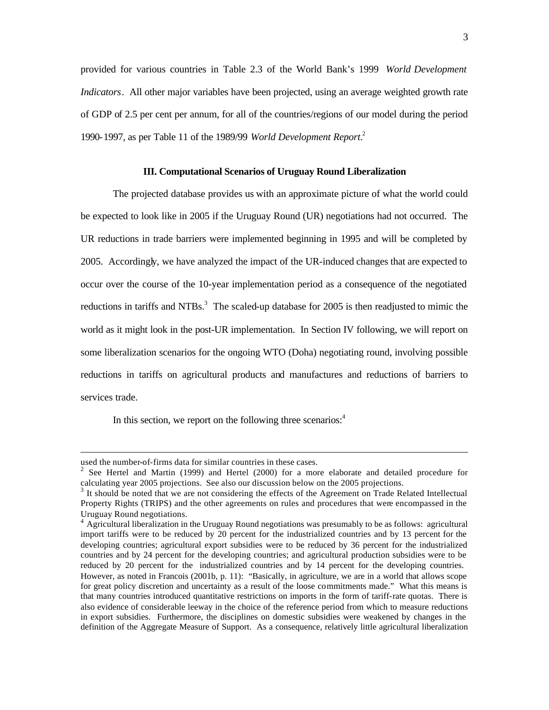provided for various countries in Table 2.3 of the World Bank's 1999 *World Development Indicators*. All other major variables have been projected, using an average weighted growth rate of GDP of 2.5 per cent per annum, for all of the countries/regions of our model during the period 1990-1997, as per Table 11 of the 1989/99 *World Development Report*. 2

#### **III. Computational Scenarios of Uruguay Round Liberalization**

The projected database provides us with an approximate picture of what the world could be expected to look like in 2005 if the Uruguay Round (UR) negotiations had not occurred. The UR reductions in trade barriers were implemented beginning in 1995 and will be completed by 2005. Accordingly, we have analyzed the impact of the UR-induced changes that are expected to occur over the course of the 10-year implementation period as a consequence of the negotiated reductions in tariffs and NTBs.<sup>3</sup> The scaled-up database for 2005 is then readjusted to mimic the world as it might look in the post-UR implementation. In Section IV following, we will report on some liberalization scenarios for the ongoing WTO (Doha) negotiating round, involving possible reductions in tariffs on agricultural products and manufactures and reductions of barriers to services trade.

In this section, we report on the following three scenarios: $4$ 

used the number-of-firms data for similar countries in these cases.

<sup>2</sup> See Hertel and Martin (1999) and Hertel (2000) for a more elaborate and detailed procedure for calculating year 2005 projections. See also our discussion below on the 2005 projections.

<sup>&</sup>lt;sup>3</sup> It should be noted that we are not considering the effects of the Agreement on Trade Related Intellectual Property Rights (TRIPS) and the other agreements on rules and procedures that were encompassed in the Uruguay Round negotiations.

<sup>&</sup>lt;sup>4</sup> Agricultural liberalization in the Uruguay Round negotiations was presumably to be as follows: agricultural import tariffs were to be reduced by 20 percent for the industrialized countries and by 13 percent for the developing countries; agricultural export subsidies were to be reduced by 36 percent for the industrialized countries and by 24 percent for the developing countries; and agricultural production subsidies were to be reduced by 20 percent for the industrialized countries and by 14 percent for the developing countries. However, as noted in Francois (2001b, p. 11): "Basically, in agriculture, we are in a world that allows scope for great policy discretion and uncertainty as a result of the loose commitments made." What this means is that many countries introduced quantitative restrictions on imports in the form of tariff-rate quotas. There is also evidence of considerable leeway in the choice of the reference period from which to measure reductions in export subsidies. Furthermore, the disciplines on domestic subsidies were weakened by changes in the definition of the Aggregate Measure of Support. As a consequence, relatively little agricultural liberalization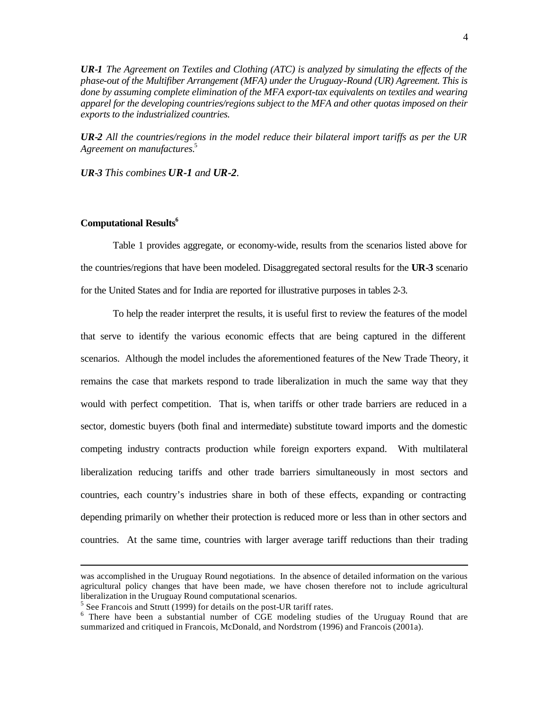*UR-1 The Agreement on Textiles and Clothing (ATC) is analyzed by simulating the effects of the phase-out of the Multifiber Arrangement (MFA) under the Uruguay-Round (UR) Agreement. This is done by assuming complete elimination of the MFA export-tax equivalents on textiles and wearing apparel for the developing countries/regions subject to the MFA and other quotas imposed on their exports to the industrialized countries.*

*UR-2 All the countries/regions in the model reduce their bilateral import tariffs as per the UR Agreement on manufactures.*<sup>5</sup>

*UR-3 This combines UR-1 and UR-2.*

## **Computational Results<sup>6</sup>**

 $\overline{a}$ 

Table 1 provides aggregate, or economy-wide, results from the scenarios listed above for the countries/regions that have been modeled. Disaggregated sectoral results for the **UR-3** scenario for the United States and for India are reported for illustrative purposes in tables 2-3.

To help the reader interpret the results, it is useful first to review the features of the model that serve to identify the various economic effects that are being captured in the different scenarios. Although the model includes the aforementioned features of the New Trade Theory, it remains the case that markets respond to trade liberalization in much the same way that they would with perfect competition. That is, when tariffs or other trade barriers are reduced in a sector, domestic buyers (both final and intermediate) substitute toward imports and the domestic competing industry contracts production while foreign exporters expand. With multilateral liberalization reducing tariffs and other trade barriers simultaneously in most sectors and countries, each country's industries share in both of these effects, expanding or contracting depending primarily on whether their protection is reduced more or less than in other sectors and countries. At the same time, countries with larger average tariff reductions than their trading

was accomplished in the Uruguay Round negotiations. In the absence of detailed information on the various agricultural policy changes that have been made, we have chosen therefore not to include agricultural liberalization in the Uruguay Round computational scenarios.

 $<sup>5</sup>$  See Francois and Strutt (1999) for details on the post-UR tariff rates.</sup>

<sup>&</sup>lt;sup>6</sup> There have been a substantial number of CGE modeling studies of the Uruguay Round that are summarized and critiqued in Francois, McDonald, and Nordstrom (1996) and Francois (2001a).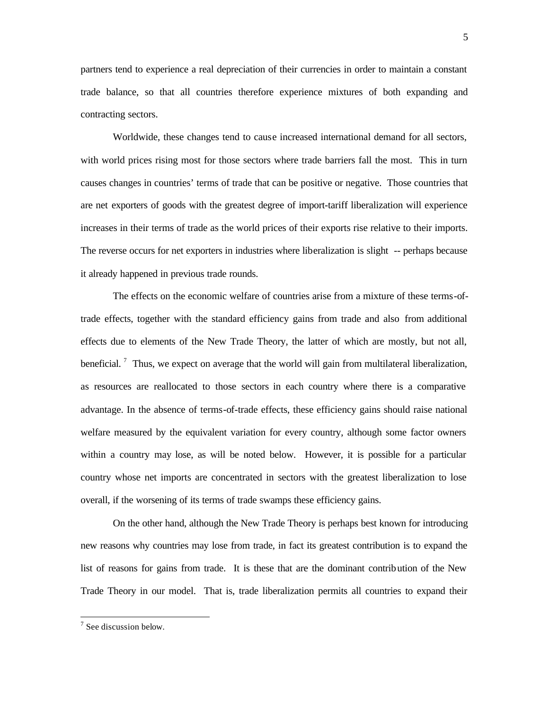partners tend to experience a real depreciation of their currencies in order to maintain a constant trade balance, so that all countries therefore experience mixtures of both expanding and contracting sectors.

Worldwide, these changes tend to cause increased international demand for all sectors, with world prices rising most for those sectors where trade barriers fall the most. This in turn causes changes in countries' terms of trade that can be positive or negative. Those countries that are net exporters of goods with the greatest degree of import-tariff liberalization will experience increases in their terms of trade as the world prices of their exports rise relative to their imports. The reverse occurs for net exporters in industries where liberalization is slight -- perhaps because it already happened in previous trade rounds.

The effects on the economic welfare of countries arise from a mixture of these terms-oftrade effects, together with the standard efficiency gains from trade and also from additional effects due to elements of the New Trade Theory, the latter of which are mostly, but not all, beneficial.<sup>7</sup> Thus, we expect on average that the world will gain from multilateral liberalization, as resources are reallocated to those sectors in each country where there is a comparative advantage. In the absence of terms-of-trade effects, these efficiency gains should raise national welfare measured by the equivalent variation for every country, although some factor owners within a country may lose, as will be noted below. However, it is possible for a particular country whose net imports are concentrated in sectors with the greatest liberalization to lose overall, if the worsening of its terms of trade swamps these efficiency gains.

On the other hand, although the New Trade Theory is perhaps best known for introducing new reasons why countries may lose from trade, in fact its greatest contribution is to expand the list of reasons for gains from trade. It is these that are the dominant contribution of the New Trade Theory in our model. That is, trade liberalization permits all countries to expand their

 $7$  See discussion below.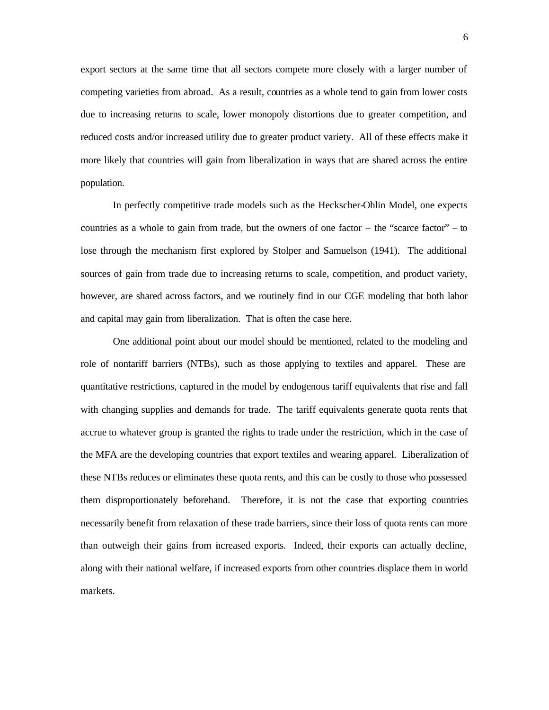export sectors at the same time that all sectors compete more closely with a larger number of competing varieties from abroad. As a result, countries as a whole tend to gain from lower costs due to increasing returns to scale, lower monopoly distortions due to greater competition, and reduced costs and/or increased utility due to greater product variety. All of these effects make it more likely that countries will gain from liberalization in ways that are shared across the entire population.

In perfectly competitive trade models such as the Heckscher-Ohlin Model, one expects countries as a whole to gain from trade, but the owners of one factor – the "scarce factor" – to lose through the mechanism first explored by Stolper and Samuelson (1941). The additional sources of gain from trade due to increasing returns to scale, competition, and product variety, however, are shared across factors, and we routinely find in our CGE modeling that both labor and capital may gain from liberalization. That is often the case here.

One additional point about our model should be mentioned, related to the modeling and role of nontariff barriers (NTBs), such as those applying to textiles and apparel. These are quantitative restrictions, captured in the model by endogenous tariff equivalents that rise and fall with changing supplies and demands for trade. The tariff equivalents generate quota rents that accrue to whatever group is granted the rights to trade under the restriction, which in the case of the MFA are the developing countries that export textiles and wearing apparel. Liberalization of these NTBs reduces or eliminates these quota rents, and this can be costly to those who possessed them disproportionately beforehand. Therefore, it is not the case that exporting countries necessarily benefit from relaxation of these trade barriers, since their loss of quota rents can more than outweigh their gains from increased exports. Indeed, their exports can actually decline, along with their national welfare, if increased exports from other countries displace them in world markets.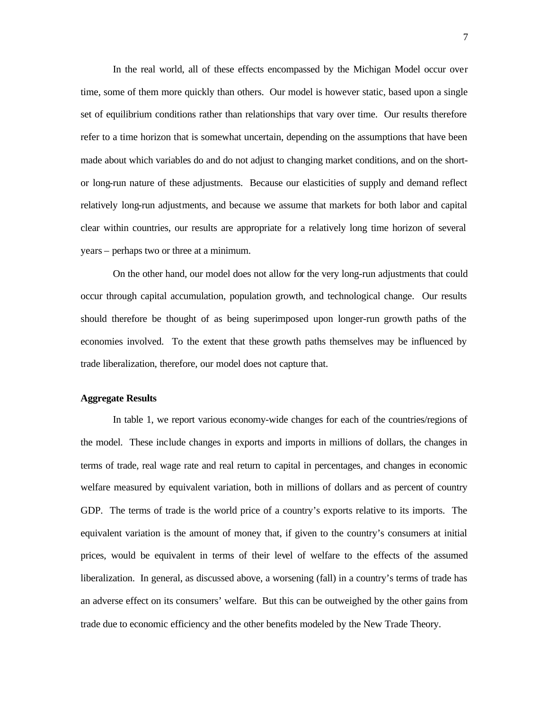In the real world, all of these effects encompassed by the Michigan Model occur over time, some of them more quickly than others. Our model is however static, based upon a single set of equilibrium conditions rather than relationships that vary over time. Our results therefore refer to a time horizon that is somewhat uncertain, depending on the assumptions that have been made about which variables do and do not adjust to changing market conditions, and on the shortor long-run nature of these adjustments. Because our elasticities of supply and demand reflect relatively long-run adjustments, and because we assume that markets for both labor and capital clear within countries, our results are appropriate for a relatively long time horizon of several years – perhaps two or three at a minimum.

On the other hand, our model does not allow for the very long-run adjustments that could occur through capital accumulation, population growth, and technological change. Our results should therefore be thought of as being superimposed upon longer-run growth paths of the economies involved. To the extent that these growth paths themselves may be influenced by trade liberalization, therefore, our model does not capture that.

## **Aggregate Results**

In table 1, we report various economy-wide changes for each of the countries/regions of the model. These include changes in exports and imports in millions of dollars, the changes in terms of trade, real wage rate and real return to capital in percentages, and changes in economic welfare measured by equivalent variation, both in millions of dollars and as percent of country GDP. The terms of trade is the world price of a country's exports relative to its imports. The equivalent variation is the amount of money that, if given to the country's consumers at initial prices, would be equivalent in terms of their level of welfare to the effects of the assumed liberalization. In general, as discussed above, a worsening (fall) in a country's terms of trade has an adverse effect on its consumers' welfare. But this can be outweighed by the other gains from trade due to economic efficiency and the other benefits modeled by the New Trade Theory.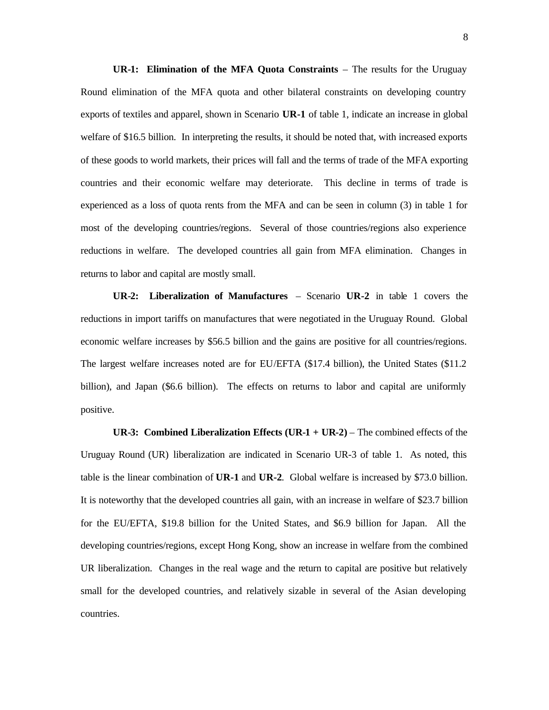**UR-1: Elimination of the MFA Quota Constraints** – The results for the Uruguay Round elimination of the MFA quota and other bilateral constraints on developing country exports of textiles and apparel, shown in Scenario **UR-1** of table 1, indicate an increase in global welfare of \$16.5 billion. In interpreting the results, it should be noted that, with increased exports of these goods to world markets, their prices will fall and the terms of trade of the MFA exporting countries and their economic welfare may deteriorate. This decline in terms of trade is experienced as a loss of quota rents from the MFA and can be seen in column (3) in table 1 for most of the developing countries/regions. Several of those countries/regions also experience reductions in welfare. The developed countries all gain from MFA elimination. Changes in returns to labor and capital are mostly small.

**UR-2: Liberalization of Manufactures** – Scenario **UR-2** in table 1 covers the reductions in import tariffs on manufactures that were negotiated in the Uruguay Round. Global economic welfare increases by \$56.5 billion and the gains are positive for all countries/regions. The largest welfare increases noted are for EU/EFTA (\$17.4 billion), the United States (\$11.2 billion), and Japan (\$6.6 billion). The effects on returns to labor and capital are uniformly positive.

**UR-3: Combined Liberalization Effects (UR-1 + UR-2)** – The combined effects of the Uruguay Round (UR) liberalization are indicated in Scenario UR-3 of table 1. As noted, this table is the linear combination of **UR-1** and **UR-2**. Global welfare is increased by \$73.0 billion. It is noteworthy that the developed countries all gain, with an increase in welfare of \$23.7 billion for the EU/EFTA, \$19.8 billion for the United States, and \$6.9 billion for Japan. All the developing countries/regions, except Hong Kong, show an increase in welfare from the combined UR liberalization. Changes in the real wage and the return to capital are positive but relatively small for the developed countries, and relatively sizable in several of the Asian developing countries.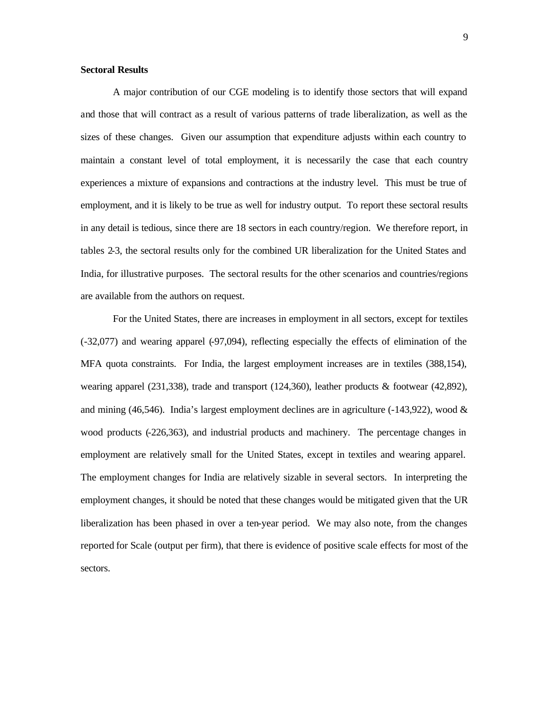## **Sectoral Results**

A major contribution of our CGE modeling is to identify those sectors that will expand and those that will contract as a result of various patterns of trade liberalization, as well as the sizes of these changes. Given our assumption that expenditure adjusts within each country to maintain a constant level of total employment, it is necessarily the case that each country experiences a mixture of expansions and contractions at the industry level. This must be true of employment, and it is likely to be true as well for industry output. To report these sectoral results in any detail is tedious, since there are 18 sectors in each country/region. We therefore report, in tables 2-3, the sectoral results only for the combined UR liberalization for the United States and India, for illustrative purposes. The sectoral results for the other scenarios and countries/regions are available from the authors on request.

For the United States, there are increases in employment in all sectors, except for textiles (-32,077) and wearing apparel (-97,094), reflecting especially the effects of elimination of the MFA quota constraints. For India, the largest employment increases are in textiles (388,154), wearing apparel (231,338), trade and transport (124,360), leather products & footwear (42,892), and mining (46,546). India's largest employment declines are in agriculture (-143,922), wood  $\&$ wood products (-226,363), and industrial products and machinery. The percentage changes in employment are relatively small for the United States, except in textiles and wearing apparel. The employment changes for India are relatively sizable in several sectors. In interpreting the employment changes, it should be noted that these changes would be mitigated given that the UR liberalization has been phased in over a ten-year period. We may also note, from the changes reported for Scale (output per firm), that there is evidence of positive scale effects for most of the sectors.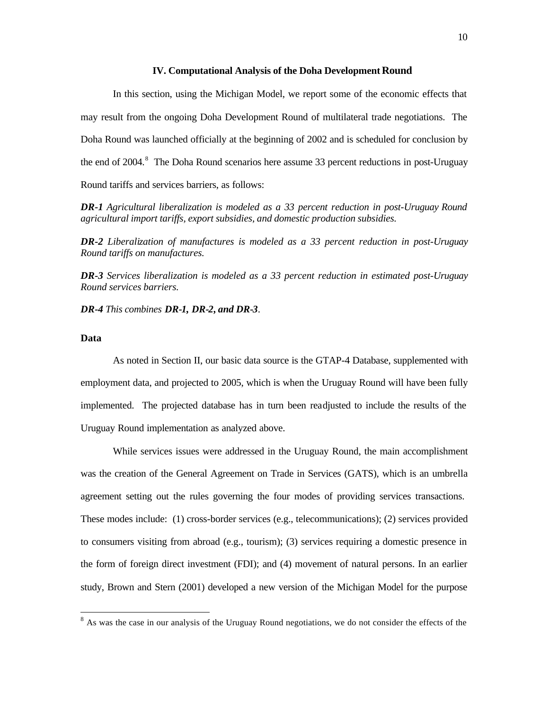#### **IV. Computational Analysis of the Doha Development Round**

In this section, using the Michigan Model, we report some of the economic effects that may result from the ongoing Doha Development Round of multilateral trade negotiations. The Doha Round was launched officially at the beginning of 2002 and is scheduled for conclusion by the end of 2004.<sup>8</sup> The Doha Round scenarios here assume 33 percent reductions in post-Uruguay Round tariffs and services barriers, as follows:

*DR-1 Agricultural liberalization is modeled as a 33 percent reduction in post-Uruguay Round agricultural import tariffs, export subsidies, and domestic production subsidies.*

*DR-2 Liberalization of manufactures is modeled as a 33 percent reduction in post-Uruguay Round tariffs on manufactures.*

*DR-3 Services liberalization is modeled as a 33 percent reduction in estimated post-Uruguay Round services barriers.*

*DR-4 This combines DR-1, DR-2, and DR-3.*

## **Data**

 $\overline{a}$ 

As noted in Section II, our basic data source is the GTAP-4 Database, supplemented with employment data, and projected to 2005, which is when the Uruguay Round will have been fully implemented. The projected database has in turn been readjusted to include the results of the Uruguay Round implementation as analyzed above.

While services issues were addressed in the Uruguay Round, the main accomplishment was the creation of the General Agreement on Trade in Services (GATS), which is an umbrella agreement setting out the rules governing the four modes of providing services transactions. These modes include: (1) cross-border services (e.g., telecommunications); (2) services provided to consumers visiting from abroad (e.g., tourism); (3) services requiring a domestic presence in the form of foreign direct investment (FDI); and (4) movement of natural persons. In an earlier study, Brown and Stern (2001) developed a new version of the Michigan Model for the purpose

<sup>&</sup>lt;sup>8</sup> As was the case in our analysis of the Uruguay Round negotiations, we do not consider the effects of the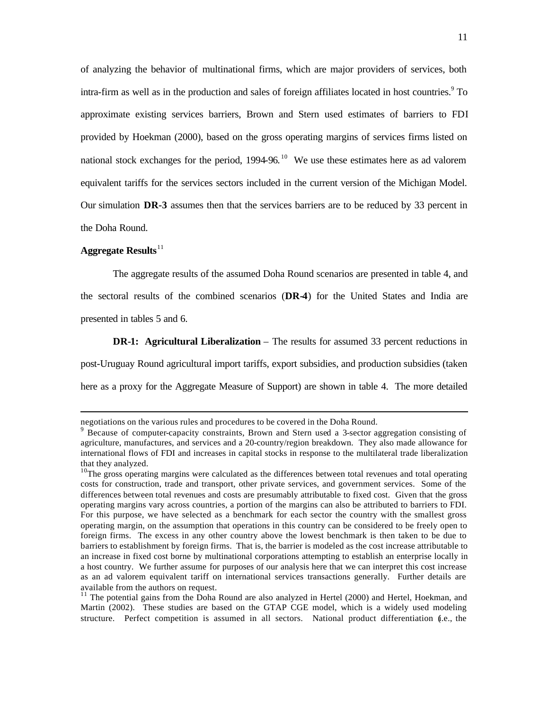of analyzing the behavior of multinational firms, which are major providers of services, both intra-firm as well as in the production and sales of foreign affiliates located in host countries.<sup>9</sup> To approximate existing services barriers, Brown and Stern used estimates of barriers to FDI provided by Hoekman (2000), based on the gross operating margins of services firms listed on national stock exchanges for the period,  $1994-96$ .<sup>10</sup> We use these estimates here as ad valorem equivalent tariffs for the services sectors included in the current version of the Michigan Model. Our simulation **DR-3** assumes then that the services barriers are to be reduced by 33 percent in the Doha Round.

## **Aggregate Results**<sup>11</sup>

 $\overline{a}$ 

The aggregate results of the assumed Doha Round scenarios are presented in table 4, and the sectoral results of the combined scenarios (**DR-4**) for the United States and India are presented in tables 5 and 6.

**DR-1: Agricultural Liberalization** – The results for assumed 33 percent reductions in post-Uruguay Round agricultural import tariffs, export subsidies, and production subsidies (taken here as a proxy for the Aggregate Measure of Support) are shown in table 4. The more detailed

negotiations on the various rules and procedures to be covered in the Doha Round.

<sup>&</sup>lt;sup>9</sup> Because of computer-capacity constraints, Brown and Stern used a 3-sector aggregation consisting of agriculture, manufactures, and services and a 20-country/region breakdown. They also made allowance for international flows of FDI and increases in capital stocks in response to the multilateral trade liberalization that they analyzed.

 $10$ The gross operating margins were calculated as the differences between total revenues and total operating costs for construction, trade and transport, other private services, and government services. Some of the differences between total revenues and costs are presumably attributable to fixed cost. Given that the gross operating margins vary across countries, a portion of the margins can also be attributed to barriers to FDI. For this purpose, we have selected as a benchmark for each sector the country with the smallest gross operating margin, on the assumption that operations in this country can be considered to be freely open to foreign firms. The excess in any other country above the lowest benchmark is then taken to be due to barriers to establishment by foreign firms. That is, the barrier is modeled as the cost increase attributable to an increase in fixed cost borne by multinational corporations attempting to establish an enterprise locally in a host country. We further assume for purposes of our analysis here that we can interpret this cost increase as an ad valorem equivalent tariff on international services transactions generally. Further details are available from the authors on request.

 $11$  The potential gains from the Doha Round are also analyzed in Hertel (2000) and Hertel, Hoekman, and Martin (2002). These studies are based on the GTAP CGE model, which is a widely used modeling structure. Perfect competition is assumed in all sectors. National product differentiation (i.e., the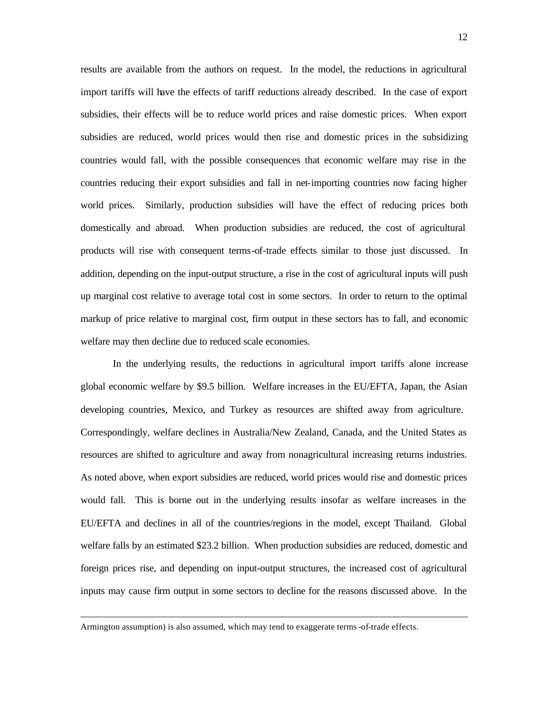results are available from the authors on request. In the model, the reductions in agricultural import tariffs will have the effects of tariff reductions already described. In the case of export subsidies, their effects will be to reduce world prices and raise domestic prices. When export subsidies are reduced, world prices would then rise and domestic prices in the subsidizing countries would fall, with the possible consequences that economic welfare may rise in the countries reducing their export subsidies and fall in net-importing countries now facing higher world prices. Similarly, production subsidies will have the effect of reducing prices both domestically and abroad. When production subsidies are reduced, the cost of agricultural products will rise with consequent terms-of-trade effects similar to those just discussed. In addition, depending on the input-output structure, a rise in the cost of agricultural inputs will push up marginal cost relative to average total cost in some sectors. In order to return to the optimal markup of price relative to marginal cost, firm output in these sectors has to fall, and economic welfare may then decline due to reduced scale economies.

In the underlying results, the reductions in agricultural import tariffs alone increase global economic welfare by \$9.5 billion. Welfare increases in the EU/EFTA, Japan, the Asian developing countries, Mexico, and Turkey as resources are shifted away from agriculture. Correspondingly, welfare declines in Australia/New Zealand, Canada, and the United States as resources are shifted to agriculture and away from nonagricultural increasing returns industries. As noted above, when export subsidies are reduced, world prices would rise and domestic prices would fall. This is borne out in the underlying results insofar as welfare increases in the EU/EFTA and declines in all of the countries/regions in the model, except Thailand. Global welfare falls by an estimated \$23.2 billion. When production subsidies are reduced, domestic and foreign prices rise, and depending on input-output structures, the increased cost of agricultural inputs may cause firm output in some sectors to decline for the reasons discussed above. In the

Armington assumption) is also assumed, which may tend to exaggerate terms-of-trade effects.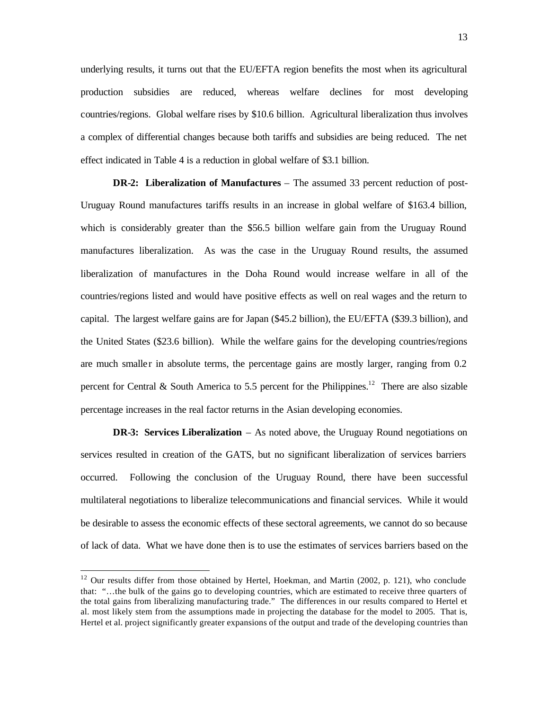underlying results, it turns out that the EU/EFTA region benefits the most when its agricultural production subsidies are reduced, whereas welfare declines for most developing countries/regions. Global welfare rises by \$10.6 billion. Agricultural liberalization thus involves a complex of differential changes because both tariffs and subsidies are being reduced. The net effect indicated in Table 4 is a reduction in global welfare of \$3.1 billion.

**DR-2: Liberalization of Manufactures** – The assumed 33 percent reduction of post-Uruguay Round manufactures tariffs results in an increase in global welfare of \$163.4 billion, which is considerably greater than the \$56.5 billion welfare gain from the Uruguay Round manufactures liberalization. As was the case in the Uruguay Round results, the assumed liberalization of manufactures in the Doha Round would increase welfare in all of the countries/regions listed and would have positive effects as well on real wages and the return to capital. The largest welfare gains are for Japan (\$45.2 billion), the EU/EFTA (\$39.3 billion), and the United States (\$23.6 billion). While the welfare gains for the developing countries/regions are much smaller in absolute terms, the percentage gains are mostly larger, ranging from 0.2 percent for Central & South America to 5.5 percent for the Philippines.<sup>12</sup> There are also sizable percentage increases in the real factor returns in the Asian developing economies.

**DR-3: Services Liberalization** – As noted above, the Uruguay Round negotiations on services resulted in creation of the GATS, but no significant liberalization of services barriers occurred. Following the conclusion of the Uruguay Round, there have been successful multilateral negotiations to liberalize telecommunications and financial services. While it would be desirable to assess the economic effects of these sectoral agreements, we cannot do so because of lack of data. What we have done then is to use the estimates of services barriers based on the

<sup>&</sup>lt;sup>12</sup> Our results differ from those obtained by Hertel, Hoekman, and Martin (2002, p. 121), who conclude that: "…the bulk of the gains go to developing countries, which are estimated to receive three quarters of the total gains from liberalizing manufacturing trade." The differences in our results compared to Hertel et al. most likely stem from the assumptions made in projecting the database for the model to 2005. That is, Hertel et al. project significantly greater expansions of the output and trade of the developing countries than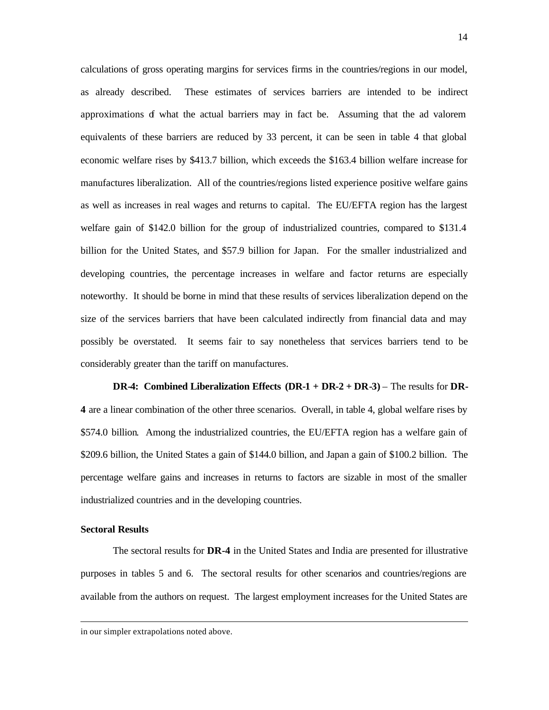calculations of gross operating margins for services firms in the countries/regions in our model, as already described. These estimates of services barriers are intended to be indirect approximations of what the actual barriers may in fact be. Assuming that the ad valorem equivalents of these barriers are reduced by 33 percent, it can be seen in table 4 that global economic welfare rises by \$413.7 billion, which exceeds the \$163.4 billion welfare increase for manufactures liberalization. All of the countries/regions listed experience positive welfare gains as well as increases in real wages and returns to capital. The EU/EFTA region has the largest welfare gain of \$142.0 billion for the group of industrialized countries, compared to \$131.4 billion for the United States, and \$57.9 billion for Japan. For the smaller industrialized and developing countries, the percentage increases in welfare and factor returns are especially noteworthy. It should be borne in mind that these results of services liberalization depend on the size of the services barriers that have been calculated indirectly from financial data and may possibly be overstated. It seems fair to say nonetheless that services barriers tend to be considerably greater than the tariff on manufactures.

**DR-4:** Combined Liberalization Effects (DR-1 + DR-2 + DR-3) – The results for DR-**4** are a linear combination of the other three scenarios. Overall, in table 4, global welfare rises by \$574.0 billion. Among the industrialized countries, the EU/EFTA region has a welfare gain of \$209.6 billion, the United States a gain of \$144.0 billion, and Japan a gain of \$100.2 billion. The percentage welfare gains and increases in returns to factors are sizable in most of the smaller industrialized countries and in the developing countries.

## **Sectoral Results**

 $\overline{a}$ 

The sectoral results for **DR-4** in the United States and India are presented for illustrative purposes in tables 5 and 6. The sectoral results for other scenarios and countries/regions are available from the authors on request. The largest employment increases for the United States are

in our simpler extrapolations noted above.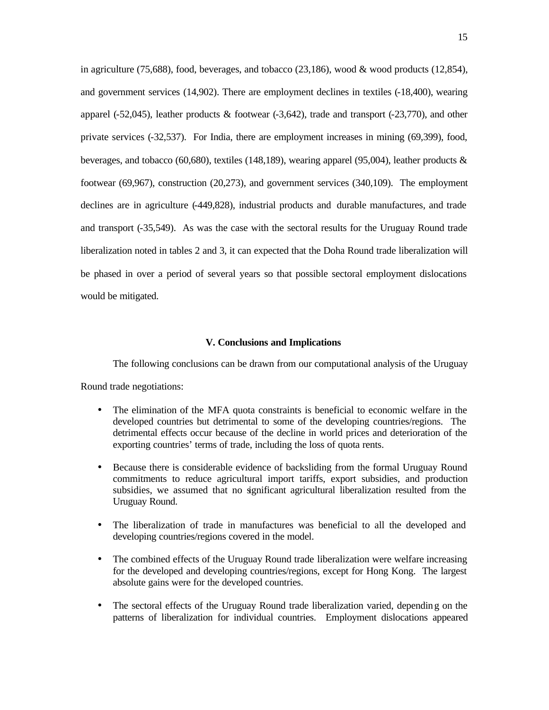in agriculture (75,688), food, beverages, and tobacco (23,186), wood  $\&$  wood products (12,854), and government services (14,902). There are employment declines in textiles (-18,400), wearing apparel (-52,045), leather products  $&$  footwear (-3,642), trade and transport (-23,770), and other private services (-32,537). For India, there are employment increases in mining (69,399), food, beverages, and tobacco (60,680), textiles (148,189), wearing apparel (95,004), leather products  $\&$ footwear (69,967), construction (20,273), and government services (340,109). The employment declines are in agriculture (-449,828), industrial products and durable manufactures, and trade and transport (-35,549). As was the case with the sectoral results for the Uruguay Round trade liberalization noted in tables 2 and 3, it can expected that the Doha Round trade liberalization will be phased in over a period of several years so that possible sectoral employment dislocations would be mitigated.

### **V. Conclusions and Implications**

The following conclusions can be drawn from our computational analysis of the Uruguay Round trade negotiations:

- The elimination of the MFA quota constraints is beneficial to economic welfare in the developed countries but detrimental to some of the developing countries/regions. The detrimental effects occur because of the decline in world prices and deterioration of the exporting countries' terms of trade, including the loss of quota rents.
- Because there is considerable evidence of backsliding from the formal Uruguay Round commitments to reduce agricultural import tariffs, export subsidies, and production subsidies, we assumed that no significant agricultural liberalization resulted from the Uruguay Round.
- The liberalization of trade in manufactures was beneficial to all the developed and developing countries/regions covered in the model.
- The combined effects of the Uruguay Round trade liberalization were welfare increasing for the developed and developing countries/regions, except for Hong Kong. The largest absolute gains were for the developed countries.
- The sectoral effects of the Uruguay Round trade liberalization varied, depending on the patterns of liberalization for individual countries. Employment dislocations appeared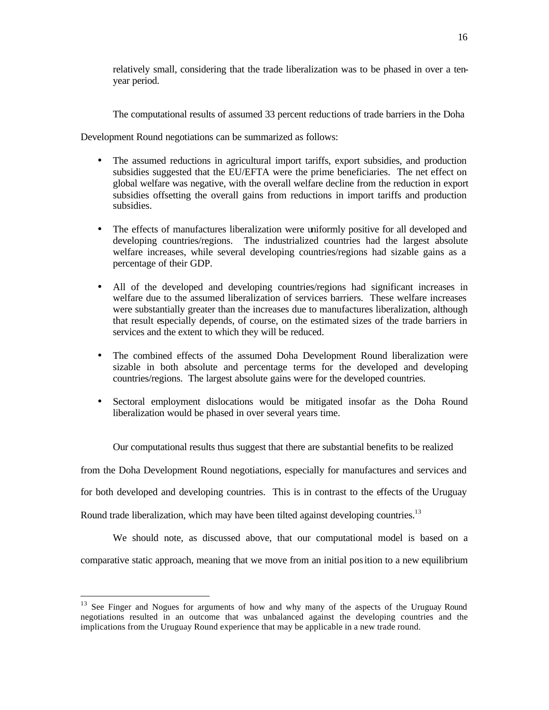relatively small, considering that the trade liberalization was to be phased in over a tenyear period.

The computational results of assumed 33 percent reductions of trade barriers in the Doha

Development Round negotiations can be summarized as follows:

- The assumed reductions in agricultural import tariffs, export subsidies, and production subsidies suggested that the EU/EFTA were the prime beneficiaries. The net effect on global welfare was negative, with the overall welfare decline from the reduction in export subsidies offsetting the overall gains from reductions in import tariffs and production subsidies.
- The effects of manufactures liberalization were uniformly positive for all developed and developing countries/regions. The industrialized countries had the largest absolute welfare increases, while several developing countries/regions had sizable gains as a percentage of their GDP.
- All of the developed and developing countries/regions had significant increases in welfare due to the assumed liberalization of services barriers. These welfare increases were substantially greater than the increases due to manufactures liberalization, although that result especially depends, of course, on the estimated sizes of the trade barriers in services and the extent to which they will be reduced.
- The combined effects of the assumed Doha Development Round liberalization were sizable in both absolute and percentage terms for the developed and developing countries/regions. The largest absolute gains were for the developed countries.
- Sectoral employment dislocations would be mitigated insofar as the Doha Round liberalization would be phased in over several years time.

Our computational results thus suggest that there are substantial benefits to be realized

from the Doha Development Round negotiations, especially for manufactures and services and for both developed and developing countries. This is in contrast to the effects of the Uruguay Round trade liberalization, which may have been tilted against developing countries.<sup>13</sup>

We should note, as discussed above, that our computational model is based on a comparative static approach, meaning that we move from an initial position to a new equilibrium

<sup>&</sup>lt;sup>13</sup> See Finger and Nogues for arguments of how and why many of the aspects of the Uruguay Round negotiations resulted in an outcome that was unbalanced against the developing countries and the implications from the Uruguay Round experience that may be applicable in a new trade round.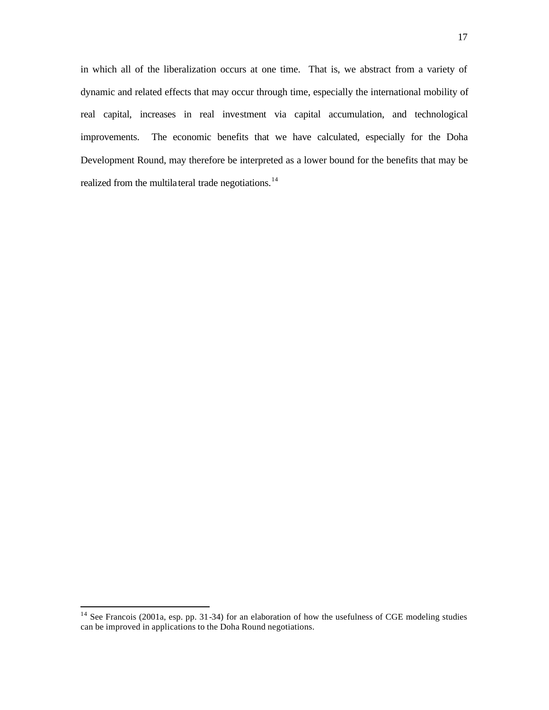in which all of the liberalization occurs at one time. That is, we abstract from a variety of dynamic and related effects that may occur through time, especially the international mobility of real capital, increases in real investment via capital accumulation, and technological improvements. The economic benefits that we have calculated, especially for the Doha Development Round, may therefore be interpreted as a lower bound for the benefits that may be realized from the multila teral trade negotiations.<sup>14</sup>

 $14$  See Francois (2001a, esp. pp. 31-34) for an elaboration of how the usefulness of CGE modeling studies can be improved in applications to the Doha Round negotiations.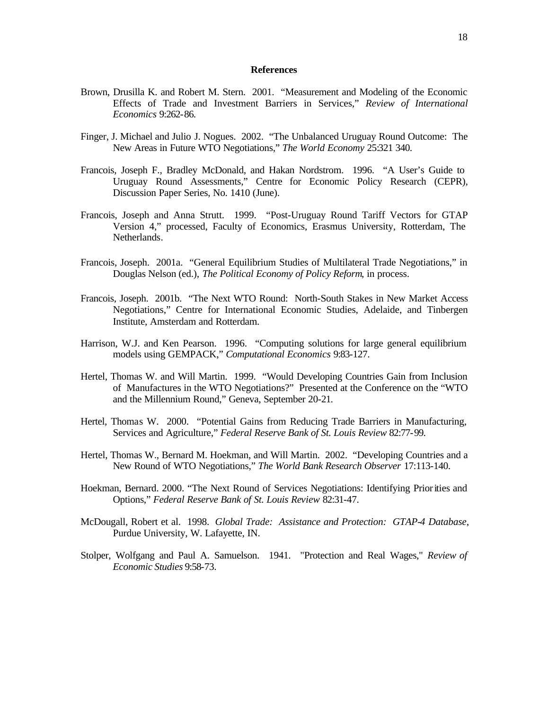## **References**

- Brown, Drusilla K. and Robert M. Stern. 2001. "Measurement and Modeling of the Economic Effects of Trade and Investment Barriers in Services," *Review of International Economics* 9:262-86.
- Finger, J. Michael and Julio J. Nogues. 2002. "The Unbalanced Uruguay Round Outcome: The New Areas in Future WTO Negotiations," *The World Economy* 25:321 340.
- Francois, Joseph F., Bradley McDonald, and Hakan Nordstrom. 1996. "A User's Guide to Uruguay Round Assessments," Centre for Economic Policy Research (CEPR), Discussion Paper Series, No. 1410 (June).
- Francois, Joseph and Anna Strutt. 1999. "Post-Uruguay Round Tariff Vectors for GTAP Version 4," processed, Faculty of Economics, Erasmus University, Rotterdam, The Netherlands.
- Francois, Joseph. 2001a. "General Equilibrium Studies of Multilateral Trade Negotiations," in Douglas Nelson (ed.), *The Political Economy of Policy Reform*, in process.
- Francois, Joseph. 2001b. "The Next WTO Round: North-South Stakes in New Market Access Negotiations," Centre for International Economic Studies, Adelaide, and Tinbergen Institute, Amsterdam and Rotterdam.
- Harrison, W.J. and Ken Pearson. 1996. "Computing solutions for large general equilibrium models using GEMPACK," *Computational Economics* 9:83-127.
- Hertel, Thomas W. and Will Martin. 1999. "Would Developing Countries Gain from Inclusion of Manufactures in the WTO Negotiations?" Presented at the Conference on the "WTO and the Millennium Round," Geneva, September 20-21.
- Hertel, Thomas W. 2000. "Potential Gains from Reducing Trade Barriers in Manufacturing, Services and Agriculture," *Federal Reserve Bank of St. Louis Review* 82:77-99.
- Hertel, Thomas W., Bernard M. Hoekman, and Will Martin. 2002. "Developing Countries and a New Round of WTO Negotiations," *The World Bank Research Observer* 17:113-140.
- Hoekman, Bernard. 2000. "The Next Round of Services Negotiations: Identifying Priorities and Options," *Federal Reserve Bank of St. Louis Review* 82:31-47.
- McDougall, Robert et al. 1998. *Global Trade: Assistance and Protection: GTAP-4 Database*, Purdue University, W. Lafayette, IN.
- Stolper, Wolfgang and Paul A. Samuelson. 1941. "Protection and Real Wages," *Review of Economic Studies* 9:58-73.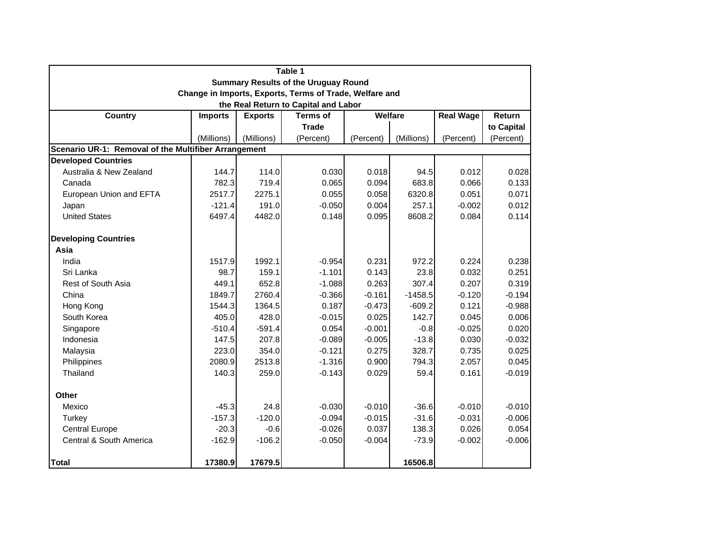| Table 1                                              |                |                |                                                         |                                              |            |           |            |  |  |  |
|------------------------------------------------------|----------------|----------------|---------------------------------------------------------|----------------------------------------------|------------|-----------|------------|--|--|--|
|                                                      |                |                | <b>Summary Results of the Uruguay Round</b>             |                                              |            |           |            |  |  |  |
|                                                      |                |                | Change in Imports, Exports, Terms of Trade, Welfare and |                                              |            |           |            |  |  |  |
| the Real Return to Capital and Labor                 |                |                |                                                         |                                              |            |           |            |  |  |  |
| <b>Country</b>                                       | <b>Imports</b> | <b>Exports</b> | <b>Terms of</b>                                         | <b>Welfare</b><br><b>Real Wage</b><br>Return |            |           |            |  |  |  |
|                                                      |                |                | <b>Trade</b>                                            |                                              |            |           | to Capital |  |  |  |
|                                                      | (Millions)     | (Millions)     | (Percent)                                               | (Percent)                                    | (Millions) | (Percent) | (Percent)  |  |  |  |
| Scenario UR-1: Removal of the Multifiber Arrangement |                |                |                                                         |                                              |            |           |            |  |  |  |
| <b>Developed Countries</b>                           |                |                |                                                         |                                              |            |           |            |  |  |  |
| Australia & New Zealand                              | 144.7          | 114.0          | 0.030                                                   | 0.018                                        | 94.5       | 0.012     | 0.028      |  |  |  |
| Canada                                               | 782.3          | 719.4          | 0.065                                                   | 0.094                                        | 683.8      | 0.066     | 0.133      |  |  |  |
| European Union and EFTA                              | 2517.7         | 2275.1         | 0.055                                                   | 0.058                                        | 6320.8     | 0.051     | 0.071      |  |  |  |
| Japan                                                | $-121.4$       | 191.0          | $-0.050$                                                | 0.004                                        | 257.1      | $-0.002$  | 0.012      |  |  |  |
| <b>United States</b>                                 | 6497.4         | 4482.0         | 0.148                                                   | 0.095                                        | 8608.2     | 0.084     | 0.114      |  |  |  |
| <b>Developing Countries</b>                          |                |                |                                                         |                                              |            |           |            |  |  |  |
| Asia                                                 |                |                |                                                         |                                              |            |           |            |  |  |  |
| India                                                | 1517.9         | 1992.1         | $-0.954$                                                | 0.231                                        | 972.2      | 0.224     | 0.238      |  |  |  |
| Sri Lanka                                            | 98.7           | 159.1          | $-1.101$                                                | 0.143                                        | 23.8       | 0.032     | 0.251      |  |  |  |
| <b>Rest of South Asia</b>                            | 449.1          | 652.8          | $-1.088$                                                | 0.263                                        | 307.4      | 0.207     | 0.319      |  |  |  |
| China                                                | 1849.7         | 2760.4         | $-0.366$                                                | $-0.161$                                     | $-1458.5$  | $-0.120$  | $-0.194$   |  |  |  |
| Hong Kong                                            | 1544.3         | 1364.5         | 0.187                                                   | $-0.473$                                     | $-609.2$   | 0.121     | $-0.988$   |  |  |  |
| South Korea                                          | 405.0          | 428.0          | $-0.015$                                                | 0.025                                        | 142.7      | 0.045     | 0.006      |  |  |  |
| Singapore                                            | $-510.4$       | $-591.4$       | 0.054                                                   | $-0.001$                                     | $-0.8$     | $-0.025$  | 0.020      |  |  |  |
| Indonesia                                            | 147.5          | 207.8          | $-0.089$                                                | $-0.005$                                     | $-13.8$    | 0.030     | $-0.032$   |  |  |  |
| Malaysia                                             | 223.0          | 354.0          | $-0.121$                                                | 0.275                                        | 328.7      | 0.735     | 0.025      |  |  |  |
| Philippines                                          | 2080.9         | 2513.8         | $-1.316$                                                | 0.900                                        | 794.3      | 2.057     | 0.045      |  |  |  |
| Thailand                                             | 140.3          | 259.0          | $-0.143$                                                | 0.029                                        | 59.4       | 0.161     | $-0.019$   |  |  |  |
| <b>Other</b>                                         |                |                |                                                         |                                              |            |           |            |  |  |  |
| Mexico                                               | $-45.3$        | 24.8           | $-0.030$                                                | $-0.010$                                     | $-36.6$    | $-0.010$  | $-0.010$   |  |  |  |
| Turkey                                               | $-157.3$       | $-120.0$       | $-0.094$                                                | $-0.015$                                     | $-31.6$    | $-0.031$  | $-0.006$   |  |  |  |
| <b>Central Europe</b>                                | $-20.3$        | $-0.6$         | $-0.026$                                                | 0.037                                        | 138.3      | 0.026     | 0.054      |  |  |  |
| Central & South America                              | $-162.9$       | $-106.2$       | $-0.050$                                                | $-0.004$                                     | $-73.9$    | $-0.002$  | $-0.006$   |  |  |  |
| <b>Total</b>                                         | 17380.9        | 17679.5        |                                                         |                                              | 16506.8    |           |            |  |  |  |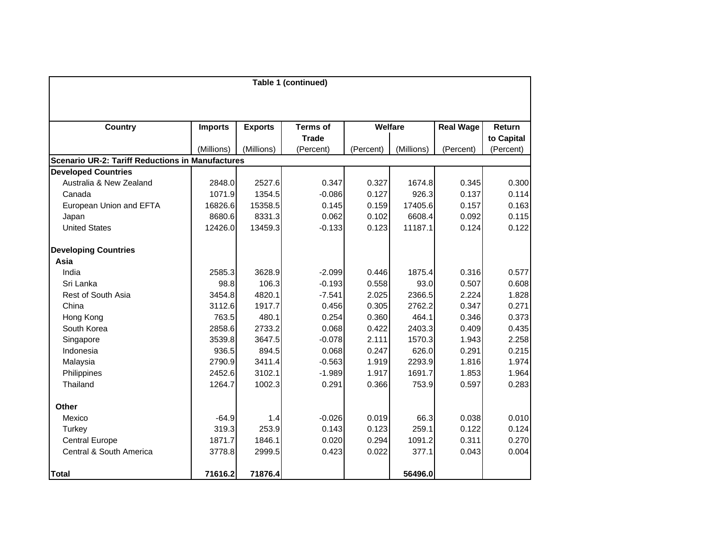|                                                         |                |                | Table 1 (continued) |           |            |                  |            |
|---------------------------------------------------------|----------------|----------------|---------------------|-----------|------------|------------------|------------|
|                                                         |                |                |                     |           |            |                  |            |
|                                                         |                |                |                     |           |            |                  |            |
| <b>Country</b>                                          | <b>Imports</b> | <b>Exports</b> | <b>Terms of</b>     | Welfare   |            | <b>Real Wage</b> | Return     |
|                                                         |                |                | <b>Trade</b>        |           |            |                  | to Capital |
|                                                         | (Millions)     | (Millions)     | (Percent)           | (Percent) | (Millions) | (Percent)        | (Percent)  |
| <b>Scenario UR-2: Tariff Reductions in Manufactures</b> |                |                |                     |           |            |                  |            |
| <b>Developed Countries</b>                              |                |                |                     |           |            |                  |            |
| Australia & New Zealand                                 | 2848.0         | 2527.6         | 0.347               | 0.327     | 1674.8     | 0.345            | 0.300      |
| Canada                                                  | 1071.9         | 1354.5         | $-0.086$            | 0.127     | 926.3      | 0.137            | 0.114      |
| European Union and EFTA                                 | 16826.6        | 15358.5        | 0.145               | 0.159     | 17405.6    | 0.157            | 0.163      |
| Japan                                                   | 8680.6         | 8331.3         | 0.062               | 0.102     | 6608.4     | 0.092            | 0.115      |
| <b>United States</b>                                    | 12426.0        | 13459.3        | $-0.133$            | 0.123     | 11187.1    | 0.124            | 0.122      |
| <b>Developing Countries</b>                             |                |                |                     |           |            |                  |            |
| Asia                                                    |                |                |                     |           |            |                  |            |
| India                                                   | 2585.3         | 3628.9         | $-2.099$            | 0.446     | 1875.4     | 0.316            | 0.577      |
| Sri Lanka                                               | 98.8           | 106.3          | $-0.193$            | 0.558     | 93.0       | 0.507            | 0.608      |
| Rest of South Asia                                      | 3454.8         | 4820.1         | $-7.541$            | 2.025     | 2366.5     | 2.224            | 1.828      |
| China                                                   | 3112.6         | 1917.7         | 0.456               | 0.305     | 2762.2     | 0.347            | 0.271      |
| Hong Kong                                               | 763.5          | 480.1          | 0.254               | 0.360     | 464.1      | 0.346            | 0.373      |
| South Korea                                             | 2858.6         | 2733.2         | 0.068               | 0.422     | 2403.3     | 0.409            | 0.435      |
| Singapore                                               | 3539.8         | 3647.5         | $-0.078$            | 2.111     | 1570.3     | 1.943            | 2.258      |
| Indonesia                                               | 936.5          | 894.5          | 0.068               | 0.247     | 626.0      | 0.291            | 0.215      |
| Malaysia                                                | 2790.9         | 3411.4         | $-0.563$            | 1.919     | 2293.9     | 1.816            | 1.974      |
| Philippines                                             | 2452.6         | 3102.1         | $-1.989$            | 1.917     | 1691.7     | 1.853            | 1.964      |
| Thailand                                                | 1264.7         | 1002.3         | 0.291               | 0.366     | 753.9      | 0.597            | 0.283      |
| Other                                                   |                |                |                     |           |            |                  |            |
| Mexico                                                  | $-64.9$        | 1.4            | $-0.026$            | 0.019     | 66.3       | 0.038            | 0.010      |
| Turkey                                                  | 319.3          | 253.9          | 0.143               | 0.123     | 259.1      | 0.122            | 0.124      |
| <b>Central Europe</b>                                   | 1871.7         | 1846.1         | 0.020               | 0.294     | 1091.2     | 0.311            | 0.270      |
| Central & South America                                 | 3778.8         | 2999.5         | 0.423               | 0.022     | 377.1      | 0.043            | 0.004      |
| <b>Total</b>                                            | 71616.2        | 71876.4        |                     |           | 56496.0    |                  |            |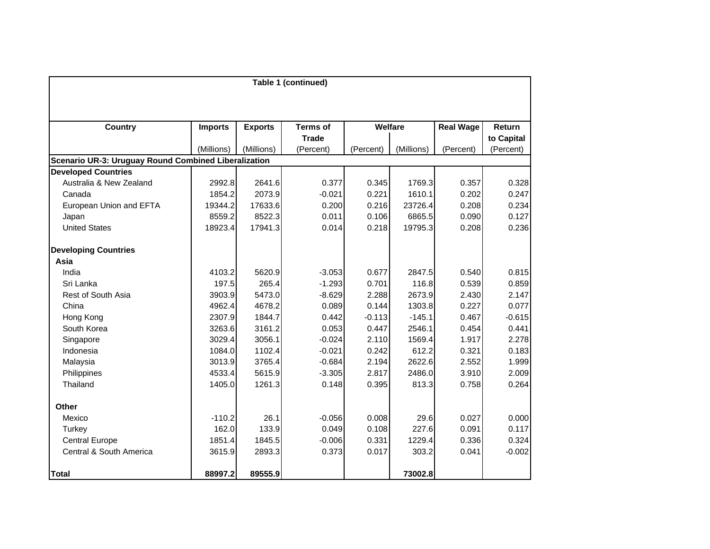|                                                      |                |                | Table 1 (continued) |           |            |                  |            |  |  |
|------------------------------------------------------|----------------|----------------|---------------------|-----------|------------|------------------|------------|--|--|
|                                                      |                |                |                     |           |            |                  |            |  |  |
|                                                      |                |                |                     |           |            |                  |            |  |  |
| <b>Country</b>                                       | <b>Imports</b> | <b>Exports</b> | <b>Terms of</b>     | Welfare   |            | <b>Real Wage</b> | Return     |  |  |
|                                                      |                |                | <b>Trade</b>        |           |            |                  | to Capital |  |  |
|                                                      | (Millions)     | (Millions)     | (Percent)           | (Percent) | (Millions) | (Percent)        | (Percent)  |  |  |
| Scenario UR-3: Uruguay Round Combined Liberalization |                |                |                     |           |            |                  |            |  |  |
| <b>Developed Countries</b>                           |                |                |                     |           |            |                  |            |  |  |
| Australia & New Zealand                              | 2992.8         | 2641.6         | 0.377               | 0.345     | 1769.3     | 0.357            | 0.328      |  |  |
| Canada                                               | 1854.2         | 2073.9         | $-0.021$            | 0.221     | 1610.1     | 0.202            | 0.247      |  |  |
| European Union and EFTA                              | 19344.2        | 17633.6        | 0.200               | 0.216     | 23726.4    | 0.208            | 0.234      |  |  |
| Japan                                                | 8559.2         | 8522.3         | 0.011               | 0.106     | 6865.5     | 0.090            | 0.127      |  |  |
| <b>United States</b>                                 | 18923.4        | 17941.3        | 0.014               | 0.218     | 19795.3    | 0.208            | 0.236      |  |  |
| <b>Developing Countries</b>                          |                |                |                     |           |            |                  |            |  |  |
| Asia                                                 |                |                |                     |           |            |                  |            |  |  |
| India                                                | 4103.2         | 5620.9         | $-3.053$            | 0.677     | 2847.5     | 0.540            | 0.815      |  |  |
| Sri Lanka                                            | 197.5          | 265.4          | $-1.293$            | 0.701     | 116.8      | 0.539            | 0.859      |  |  |
| Rest of South Asia                                   | 3903.9         | 5473.0         | $-8.629$            | 2.288     | 2673.9     | 2.430            | 2.147      |  |  |
| China                                                | 4962.4         | 4678.2         | 0.089               | 0.144     | 1303.8     | 0.227            | 0.077      |  |  |
| Hong Kong                                            | 2307.9         | 1844.7         | 0.442               | $-0.113$  | $-145.1$   | 0.467            | $-0.615$   |  |  |
| South Korea                                          | 3263.6         | 3161.2         | 0.053               | 0.447     | 2546.1     | 0.454            | 0.441      |  |  |
| Singapore                                            | 3029.4         | 3056.1         | $-0.024$            | 2.110     | 1569.4     | 1.917            | 2.278      |  |  |
| Indonesia                                            | 1084.0         | 1102.4         | $-0.021$            | 0.242     | 612.2      | 0.321            | 0.183      |  |  |
| Malaysia                                             | 3013.9         | 3765.4         | $-0.684$            | 2.194     | 2622.6     | 2.552            | 1.999      |  |  |
| Philippines                                          | 4533.4         | 5615.9         | $-3.305$            | 2.817     | 2486.0     | 3.910            | 2.009      |  |  |
| Thailand                                             | 1405.0         | 1261.3         | 0.148               | 0.395     | 813.3      | 0.758            | 0.264      |  |  |
| Other                                                |                |                |                     |           |            |                  |            |  |  |
| Mexico                                               | $-110.2$       | 26.1           | $-0.056$            | 0.008     | 29.6       | 0.027            | 0.000      |  |  |
| Turkey                                               | 162.0          | 133.9          | 0.049               | 0.108     | 227.6      | 0.091            | 0.117      |  |  |
| <b>Central Europe</b>                                | 1851.4         | 1845.5         | $-0.006$            | 0.331     | 1229.4     | 0.336            | 0.324      |  |  |
| Central & South America                              | 3615.9         | 2893.3         | 0.373               | 0.017     | 303.2      | 0.041            | $-0.002$   |  |  |
| <b>Total</b>                                         | 88997.2        | 89555.9        |                     |           | 73002.8    |                  |            |  |  |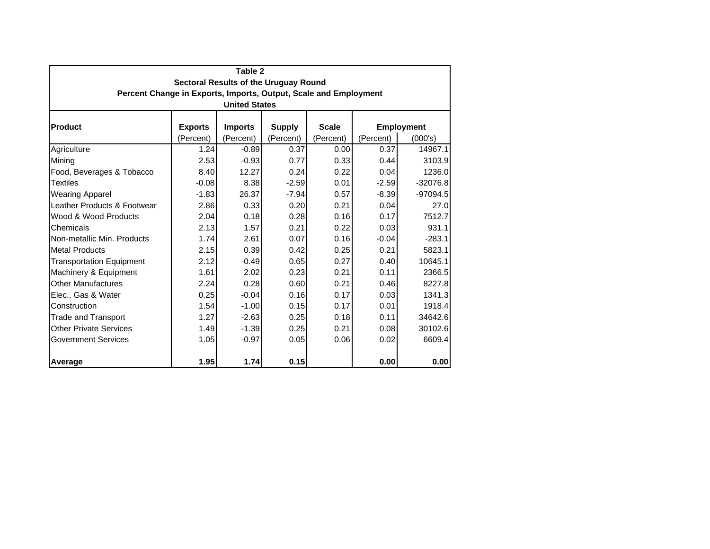| Table 2                                                          |                                                                       |           |                            |           |           |            |  |  |  |  |  |
|------------------------------------------------------------------|-----------------------------------------------------------------------|-----------|----------------------------|-----------|-----------|------------|--|--|--|--|--|
| Sectoral Results of the Uruguay Round                            |                                                                       |           |                            |           |           |            |  |  |  |  |  |
| Percent Change in Exports, Imports, Output, Scale and Employment |                                                                       |           |                            |           |           |            |  |  |  |  |  |
| <b>United States</b>                                             |                                                                       |           |                            |           |           |            |  |  |  |  |  |
| <b>Product</b>                                                   | <b>Exports</b><br><b>Imports</b><br><b>Scale</b><br><b>Employment</b> |           |                            |           |           |            |  |  |  |  |  |
|                                                                  | (Percent)                                                             | (Percent) | <b>Supply</b><br>(Percent) | (Percent) | (Percent) | (000's)    |  |  |  |  |  |
| Agriculture                                                      | 1.24                                                                  | $-0.89$   | 0.37                       | 0.00      | 0.37      | 14967.1    |  |  |  |  |  |
| Mining                                                           | 2.53                                                                  | $-0.93$   | 0.77                       | 0.33      | 0.44      | 3103.9     |  |  |  |  |  |
| Food, Beverages & Tobacco                                        | 8.40                                                                  | 12.27     | 0.24                       | 0.22      | 0.04      | 1236.0     |  |  |  |  |  |
| <b>Textiles</b>                                                  | $-0.08$                                                               | 8.38      | $-2.59$                    | 0.01      | $-2.59$   | $-32076.8$ |  |  |  |  |  |
| Wearing Apparel                                                  | $-1.83$                                                               | 26.37     | $-7.94$                    | 0.57      | $-8.39$   | $-97094.5$ |  |  |  |  |  |
| Leather Products & Footwear                                      | 2.86                                                                  | 0.33      | 0.20                       | 0.21      | 0.04      | 27.0       |  |  |  |  |  |
| Wood & Wood Products                                             | 2.04                                                                  | 0.18      | 0.28                       | 0.16      | 0.17      | 7512.7     |  |  |  |  |  |
| Chemicals                                                        | 2.13                                                                  | 1.57      | 0.21                       | 0.22      | 0.03      | 931.1      |  |  |  |  |  |
| Non-metallic Min. Products                                       | 1.74                                                                  | 2.61      | 0.07                       | 0.16      | $-0.04$   | $-283.1$   |  |  |  |  |  |
| <b>Metal Products</b>                                            | 2.15                                                                  | 0.39      | 0.42                       | 0.25      | 0.21      | 5823.1     |  |  |  |  |  |
| <b>Transportation Equipment</b>                                  | 2.12                                                                  | $-0.49$   | 0.65                       | 0.27      | 0.40      | 10645.1    |  |  |  |  |  |
| Machinery & Equipment                                            | 1.61                                                                  | 2.02      | 0.23                       | 0.21      | 0.11      | 2366.5     |  |  |  |  |  |
| <b>Other Manufactures</b>                                        | 2.24                                                                  | 0.28      | 0.60                       | 0.21      | 0.46      | 8227.8     |  |  |  |  |  |
| Elec., Gas & Water                                               | 0.25                                                                  | $-0.04$   | 0.16                       | 0.17      | 0.03      | 1341.3     |  |  |  |  |  |
| Construction                                                     | 1.54                                                                  | $-1.00$   | 0.15                       | 0.17      | 0.01      | 1918.4     |  |  |  |  |  |
| Trade and Transport                                              | 1.27                                                                  | $-2.63$   | 0.25                       | 0.18      | 0.11      | 34642.6    |  |  |  |  |  |
| <b>Other Private Services</b>                                    | 1.49                                                                  | $-1.39$   | 0.25                       | 0.21      | 0.08      | 30102.6    |  |  |  |  |  |
| <b>Government Services</b>                                       | 1.05                                                                  | $-0.97$   | 0.05                       | 0.06      | 0.02      | 6609.4     |  |  |  |  |  |
|                                                                  |                                                                       |           |                            |           |           |            |  |  |  |  |  |
| Average                                                          | 1.95                                                                  | 1.74      | 0.15                       |           | 0.00      | 0.00       |  |  |  |  |  |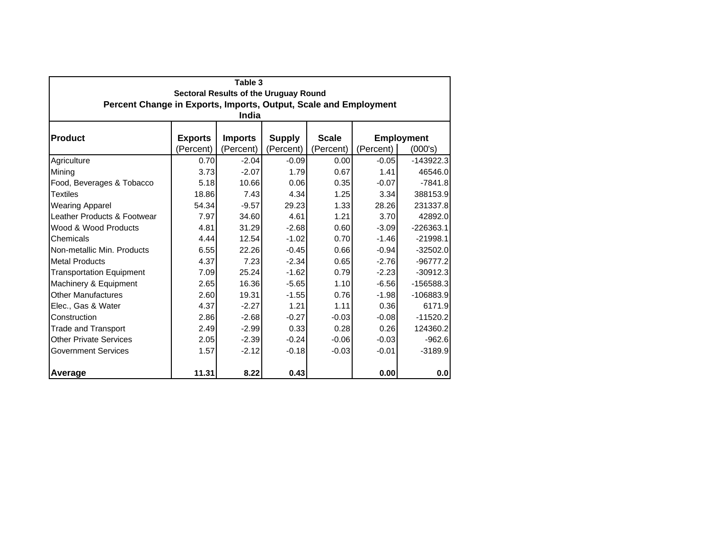| Table 3                                                          |                             |                             |                            |                           |           |             |  |  |  |
|------------------------------------------------------------------|-----------------------------|-----------------------------|----------------------------|---------------------------|-----------|-------------|--|--|--|
| <b>Sectoral Results of the Uruguay Round</b>                     |                             |                             |                            |                           |           |             |  |  |  |
| Percent Change in Exports, Imports, Output, Scale and Employment |                             |                             |                            |                           |           |             |  |  |  |
| India                                                            |                             |                             |                            |                           |           |             |  |  |  |
| <b>Employment</b>                                                |                             |                             |                            |                           |           |             |  |  |  |
| <b>Product</b>                                                   | <b>Exports</b><br>(Percent) | <b>Imports</b><br>(Percent) | <b>Supply</b><br>(Percent) | <b>Scale</b><br>(Percent) | (Percent) | (000's)     |  |  |  |
| Agriculture                                                      | 0.70                        | $-2.04$                     | $-0.09$                    | 0.00                      | $-0.05$   | $-143922.3$ |  |  |  |
| Mining                                                           | 3.73                        | $-2.07$                     | 1.79                       | 0.67                      | 1.41      | 46546.0     |  |  |  |
| Food, Beverages & Tobacco                                        | 5.18                        | 10.66                       | 0.06                       | 0.35                      | $-0.07$   | $-7841.8$   |  |  |  |
| <b>Textiles</b>                                                  | 18.86                       | 7.43                        | 4.34                       | 1.25                      | 3.34      | 388153.9    |  |  |  |
| <b>Wearing Apparel</b>                                           | 54.34                       | $-9.57$                     | 29.23                      | 1.33                      | 28.26     | 231337.8    |  |  |  |
| Leather Products & Footwear                                      | 7.97                        | 34.60                       | 4.61                       | 1.21                      | 3.70      | 42892.0     |  |  |  |
| Wood & Wood Products                                             | 4.81                        |                             | $-2.68$                    | 0.60                      | $-3.09$   |             |  |  |  |
|                                                                  |                             | 31.29                       |                            |                           |           | $-226363.1$ |  |  |  |
| Chemicals                                                        | 4.44                        | 12.54                       | $-1.02$                    | 0.70                      | $-1.46$   | $-21998.1$  |  |  |  |
| Non-metallic Min. Products                                       | 6.55                        | 22.26                       | $-0.45$                    | 0.66                      | $-0.94$   | $-32502.0$  |  |  |  |
| <b>Metal Products</b>                                            | 4.37                        | 7.23                        | $-2.34$                    | 0.65                      | $-2.76$   | $-96777.2$  |  |  |  |
| <b>Transportation Equipment</b>                                  | 7.09                        | 25.24                       | $-1.62$                    | 0.79                      | $-2.23$   | $-30912.3$  |  |  |  |
| Machinery & Equipment                                            | 2.65                        | 16.36                       | $-5.65$                    | 1.10                      | $-6.56$   | $-156588.3$ |  |  |  |
| <b>Other Manufactures</b>                                        | 2.60                        | 19.31                       | $-1.55$                    | 0.76                      | $-1.98$   | $-106883.9$ |  |  |  |
| Elec., Gas & Water                                               | 4.37                        | $-2.27$                     | 1.21                       | 1.11                      | 0.36      | 6171.9      |  |  |  |
| Construction                                                     | 2.86                        | $-2.68$                     | $-0.27$                    | $-0.03$                   | $-0.08$   | $-11520.2$  |  |  |  |
| Trade and Transport                                              | 2.49                        | $-2.99$                     | 0.33                       | 0.28                      | 0.26      | 124360.2    |  |  |  |
| <b>Other Private Services</b>                                    | 2.05                        | $-2.39$                     | $-0.24$                    | $-0.06$                   | $-0.03$   | $-962.6$    |  |  |  |
| <b>Government Services</b>                                       | 1.57                        | $-2.12$                     | $-0.18$                    | $-0.03$                   | $-0.01$   | $-3189.9$   |  |  |  |
|                                                                  |                             |                             |                            |                           |           |             |  |  |  |
| Average                                                          | 11.31                       | 8.22                        | 0.43                       |                           | 0.00      | 0.0         |  |  |  |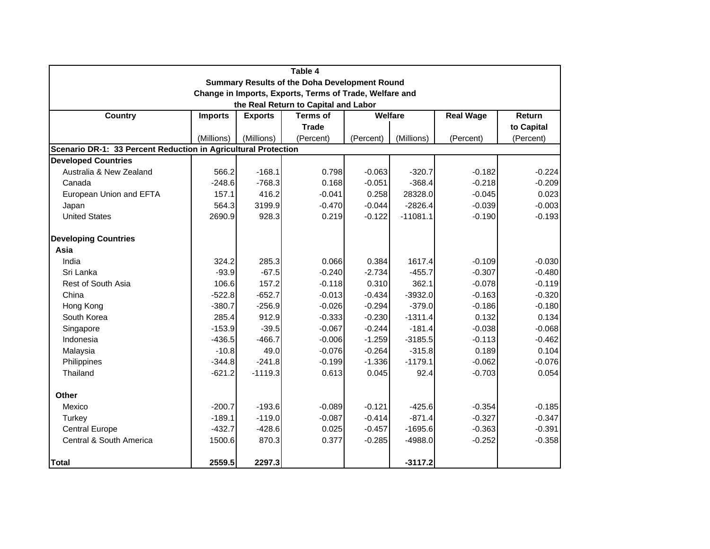| Table 4                                                        |                |                |                                               |           |            |                  |            |  |  |
|----------------------------------------------------------------|----------------|----------------|-----------------------------------------------|-----------|------------|------------------|------------|--|--|
|                                                                |                |                | Summary Results of the Doha Development Round |           |            |                  |            |  |  |
| Change in Imports, Exports, Terms of Trade, Welfare and        |                |                |                                               |           |            |                  |            |  |  |
| the Real Return to Capital and Labor                           |                |                |                                               |           |            |                  |            |  |  |
| <b>Country</b>                                                 | <b>Imports</b> | <b>Exports</b> | <b>Terms of</b>                               | Welfare   |            | <b>Real Wage</b> | Return     |  |  |
|                                                                |                |                | <b>Trade</b>                                  |           |            |                  | to Capital |  |  |
|                                                                | (Millions)     | (Millions)     | (Percent)                                     | (Percent) | (Millions) | (Percent)        | (Percent)  |  |  |
| Scenario DR-1: 33 Percent Reduction in Agricultural Protection |                |                |                                               |           |            |                  |            |  |  |
| <b>Developed Countries</b>                                     |                |                |                                               |           |            |                  |            |  |  |
| Australia & New Zealand                                        | 566.2          | $-168.1$       | 0.798                                         | $-0.063$  | $-320.7$   | $-0.182$         | $-0.224$   |  |  |
| Canada                                                         | $-248.6$       | $-768.3$       | 0.168                                         | $-0.051$  | $-368.4$   | $-0.218$         | $-0.209$   |  |  |
| European Union and EFTA                                        | 157.1          | 416.2          | $-0.041$                                      | 0.258     | 28328.0    | $-0.045$         | 0.023      |  |  |
| Japan                                                          | 564.3          | 3199.9         | $-0.470$                                      | $-0.044$  | $-2826.4$  | $-0.039$         | $-0.003$   |  |  |
| <b>United States</b>                                           | 2690.9         | 928.3          | 0.219                                         | $-0.122$  | $-11081.1$ | $-0.190$         | $-0.193$   |  |  |
| <b>Developing Countries</b>                                    |                |                |                                               |           |            |                  |            |  |  |
| Asia                                                           |                |                |                                               |           |            |                  |            |  |  |
| India                                                          | 324.2          | 285.3          | 0.066                                         | 0.384     | 1617.4     | $-0.109$         | $-0.030$   |  |  |
| Sri Lanka                                                      | $-93.9$        | $-67.5$        | $-0.240$                                      | $-2.734$  | $-455.7$   | $-0.307$         | $-0.480$   |  |  |
| Rest of South Asia                                             | 106.6          | 157.2          | $-0.118$                                      | 0.310     | 362.1      | $-0.078$         | $-0.119$   |  |  |
| China                                                          | $-522.8$       | $-652.7$       | $-0.013$                                      | $-0.434$  | $-3932.0$  | $-0.163$         | $-0.320$   |  |  |
| Hong Kong                                                      | $-380.7$       | $-256.9$       | $-0.026$                                      | $-0.294$  | $-379.0$   | $-0.186$         | $-0.180$   |  |  |
| South Korea                                                    | 285.4          | 912.9          | $-0.333$                                      | $-0.230$  | $-1311.4$  | 0.132            | 0.134      |  |  |
| Singapore                                                      | $-153.9$       | $-39.5$        | $-0.067$                                      | $-0.244$  | $-181.4$   | $-0.038$         | $-0.068$   |  |  |
| Indonesia                                                      | $-436.5$       | $-466.7$       | $-0.006$                                      | $-1.259$  | $-3185.5$  | $-0.113$         | $-0.462$   |  |  |
| Malaysia                                                       | $-10.8$        | 49.0           | $-0.076$                                      | $-0.264$  | $-315.8$   | 0.189            | 0.104      |  |  |
| Philippines                                                    | $-344.8$       | $-241.8$       | $-0.199$                                      | $-1.336$  | $-1179.1$  | $-0.062$         | $-0.076$   |  |  |
| Thailand                                                       | $-621.2$       | $-1119.3$      | 0.613                                         | 0.045     | 92.4       | $-0.703$         | 0.054      |  |  |
| <b>Other</b>                                                   |                |                |                                               |           |            |                  |            |  |  |
| Mexico                                                         | $-200.7$       | $-193.6$       | $-0.089$                                      | $-0.121$  | $-425.6$   | $-0.354$         | $-0.185$   |  |  |
| Turkey                                                         | $-189.1$       | $-119.0$       | $-0.087$                                      | $-0.414$  | $-871.4$   | $-0.327$         | $-0.347$   |  |  |
| <b>Central Europe</b>                                          | $-432.7$       | $-428.6$       | 0.025                                         | $-0.457$  | $-1695.6$  | $-0.363$         | $-0.391$   |  |  |
| Central & South America                                        | 1500.6         | 870.3          | 0.377                                         | $-0.285$  | $-4988.0$  | $-0.252$         | $-0.358$   |  |  |
| <b>Total</b>                                                   | 2559.5         | 2297.3         |                                               |           | $-3117.2$  |                  |            |  |  |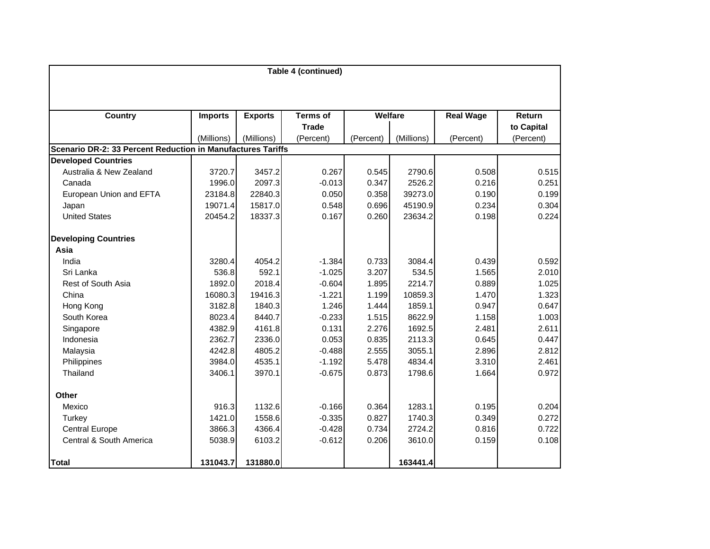|                                                             |                |                | Table 4 (continued) |           |            |                  |            |  |  |
|-------------------------------------------------------------|----------------|----------------|---------------------|-----------|------------|------------------|------------|--|--|
|                                                             |                |                |                     |           |            |                  |            |  |  |
|                                                             |                |                |                     |           |            |                  |            |  |  |
| <b>Country</b>                                              | <b>Imports</b> | <b>Exports</b> | <b>Terms of</b>     | Welfare   |            | <b>Real Wage</b> | Return     |  |  |
|                                                             |                |                | <b>Trade</b>        |           |            |                  | to Capital |  |  |
|                                                             | (Millions)     | (Millions)     | (Percent)           | (Percent) | (Millions) | (Percent)        | (Percent)  |  |  |
| Scenario DR-2: 33 Percent Reduction in Manufactures Tariffs |                |                |                     |           |            |                  |            |  |  |
| <b>Developed Countries</b>                                  |                |                |                     |           |            |                  |            |  |  |
| Australia & New Zealand                                     | 3720.7         | 3457.2         | 0.267               | 0.545     | 2790.6     | 0.508            | 0.515      |  |  |
| Canada                                                      | 1996.0         | 2097.3         | $-0.013$            | 0.347     | 2526.2     | 0.216            | 0.251      |  |  |
| European Union and EFTA                                     | 23184.8        | 22840.3        | 0.050               | 0.358     | 39273.0    | 0.190            | 0.199      |  |  |
| Japan                                                       | 19071.4        | 15817.0        | 0.548               | 0.696     | 45190.9    | 0.234            | 0.304      |  |  |
| <b>United States</b>                                        | 20454.2        | 18337.3        | 0.167               | 0.260     | 23634.2    | 0.198            | 0.224      |  |  |
| <b>Developing Countries</b>                                 |                |                |                     |           |            |                  |            |  |  |
| Asia                                                        |                |                |                     |           |            |                  |            |  |  |
| India                                                       | 3280.4         | 4054.2         | $-1.384$            | 0.733     | 3084.4     | 0.439            | 0.592      |  |  |
| Sri Lanka                                                   | 536.8          | 592.1          | $-1.025$            | 3.207     | 534.5      | 1.565            | 2.010      |  |  |
| <b>Rest of South Asia</b>                                   | 1892.0         | 2018.4         | $-0.604$            | 1.895     | 2214.7     | 0.889            | 1.025      |  |  |
| China                                                       | 16080.3        | 19416.3        | $-1.221$            | 1.199     | 10859.3    | 1.470            | 1.323      |  |  |
| Hong Kong                                                   | 3182.8         | 1840.3         | 1.246               | 1.444     | 1859.1     | 0.947            | 0.647      |  |  |
| South Korea                                                 | 8023.4         | 8440.7         | $-0.233$            | 1.515     | 8622.9     | 1.158            | 1.003      |  |  |
| Singapore                                                   | 4382.9         | 4161.8         | 0.131               | 2.276     | 1692.5     | 2.481            | 2.611      |  |  |
| Indonesia                                                   | 2362.7         | 2336.0         | 0.053               | 0.835     | 2113.3     | 0.645            | 0.447      |  |  |
| Malaysia                                                    | 4242.8         | 4805.2         | $-0.488$            | 2.555     | 3055.1     | 2.896            | 2.812      |  |  |
| Philippines                                                 | 3984.0         | 4535.1         | $-1.192$            | 5.478     | 4834.4     | 3.310            | 2.461      |  |  |
| Thailand                                                    | 3406.1         | 3970.1         | $-0.675$            | 0.873     | 1798.6     | 1.664            | 0.972      |  |  |
| Other                                                       |                |                |                     |           |            |                  |            |  |  |
| Mexico                                                      | 916.3          | 1132.6         | $-0.166$            | 0.364     | 1283.1     | 0.195            | 0.204      |  |  |
| Turkey                                                      | 1421.0         | 1558.6         | $-0.335$            | 0.827     | 1740.3     | 0.349            | 0.272      |  |  |
| <b>Central Europe</b>                                       | 3866.3         | 4366.4         | $-0.428$            | 0.734     | 2724.2     | 0.816            | 0.722      |  |  |
| Central & South America                                     | 5038.9         | 6103.2         | $-0.612$            | 0.206     | 3610.0     | 0.159            | 0.108      |  |  |
| <b>Total</b>                                                | 131043.7       | 131880.0       |                     |           | 163441.4   |                  |            |  |  |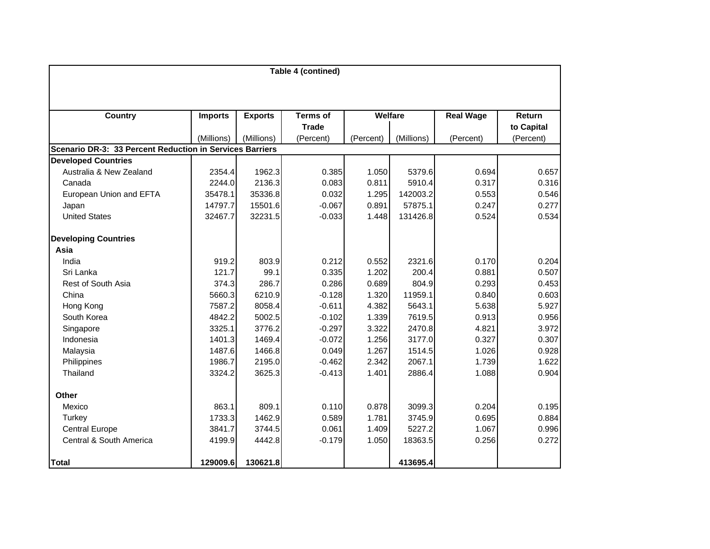|                                                          |                |                | Table 4 (contined) |           |            |                  |            |  |  |
|----------------------------------------------------------|----------------|----------------|--------------------|-----------|------------|------------------|------------|--|--|
|                                                          |                |                |                    |           |            |                  |            |  |  |
|                                                          |                |                |                    |           |            |                  |            |  |  |
| <b>Country</b>                                           | <b>Imports</b> | <b>Exports</b> | <b>Terms of</b>    | Welfare   |            | <b>Real Wage</b> | Return     |  |  |
|                                                          |                |                | <b>Trade</b>       |           |            |                  | to Capital |  |  |
|                                                          | (Millions)     | (Millions)     | (Percent)          | (Percent) | (Millions) | (Percent)        | (Percent)  |  |  |
| Scenario DR-3: 33 Percent Reduction in Services Barriers |                |                |                    |           |            |                  |            |  |  |
| <b>Developed Countries</b>                               |                |                |                    |           |            |                  |            |  |  |
| Australia & New Zealand                                  | 2354.4         | 1962.3         | 0.385              | 1.050     | 5379.6     | 0.694            | 0.657      |  |  |
| Canada                                                   | 2244.0         | 2136.3         | 0.083              | 0.811     | 5910.4     | 0.317            | 0.316      |  |  |
| European Union and EFTA                                  | 35478.1        | 35336.8        | 0.032              | 1.295     | 142003.2   | 0.553            | 0.546      |  |  |
| Japan                                                    | 14797.7        | 15501.6        | $-0.067$           | 0.891     | 57875.1    | 0.247            | 0.277      |  |  |
| <b>United States</b>                                     | 32467.7        | 32231.5        | $-0.033$           | 1.448     | 131426.8   | 0.524            | 0.534      |  |  |
| <b>Developing Countries</b>                              |                |                |                    |           |            |                  |            |  |  |
| Asia                                                     |                |                |                    |           |            |                  |            |  |  |
| India                                                    | 919.2          | 803.9          | 0.212              | 0.552     | 2321.6     | 0.170            | 0.204      |  |  |
| Sri Lanka                                                | 121.7          | 99.1           | 0.335              | 1.202     | 200.4      | 0.881            | 0.507      |  |  |
| Rest of South Asia                                       | 374.3          | 286.7          | 0.286              | 0.689     | 804.9      | 0.293            | 0.453      |  |  |
| China                                                    | 5660.3         | 6210.9         | $-0.128$           | 1.320     | 11959.1    | 0.840            | 0.603      |  |  |
| Hong Kong                                                | 7587.2         | 8058.4         | $-0.611$           | 4.382     | 5643.1     | 5.638            | 5.927      |  |  |
| South Korea                                              | 4842.2         | 5002.5         | $-0.102$           | 1.339     | 7619.5     | 0.913            | 0.956      |  |  |
| Singapore                                                | 3325.1         | 3776.2         | $-0.297$           | 3.322     | 2470.8     | 4.821            | 3.972      |  |  |
| Indonesia                                                | 1401.3         | 1469.4         | $-0.072$           | 1.256     | 3177.0     | 0.327            | 0.307      |  |  |
| Malaysia                                                 | 1487.6         | 1466.8         | 0.049              | 1.267     | 1514.5     | 1.026            | 0.928      |  |  |
| Philippines                                              | 1986.7         | 2195.0         | $-0.462$           | 2.342     | 2067.1     | 1.739            | 1.622      |  |  |
| Thailand                                                 | 3324.2         | 3625.3         | $-0.413$           | 1.401     | 2886.4     | 1.088            | 0.904      |  |  |
| Other                                                    |                |                |                    |           |            |                  |            |  |  |
| Mexico                                                   | 863.1          | 809.1          | 0.110              | 0.878     | 3099.3     | 0.204            | 0.195      |  |  |
| Turkey                                                   | 1733.3         | 1462.9         | 0.589              | 1.781     | 3745.9     | 0.695            | 0.884      |  |  |
| <b>Central Europe</b>                                    | 3841.7         | 3744.5         | 0.061              | 1.409     | 5227.2     | 1.067            | 0.996      |  |  |
| Central & South America                                  | 4199.9         | 4442.8         | $-0.179$           | 1.050     | 18363.5    | 0.256            | 0.272      |  |  |
| <b>Total</b>                                             | 129009.6       | 130621.8       |                    |           | 413695.4   |                  |            |  |  |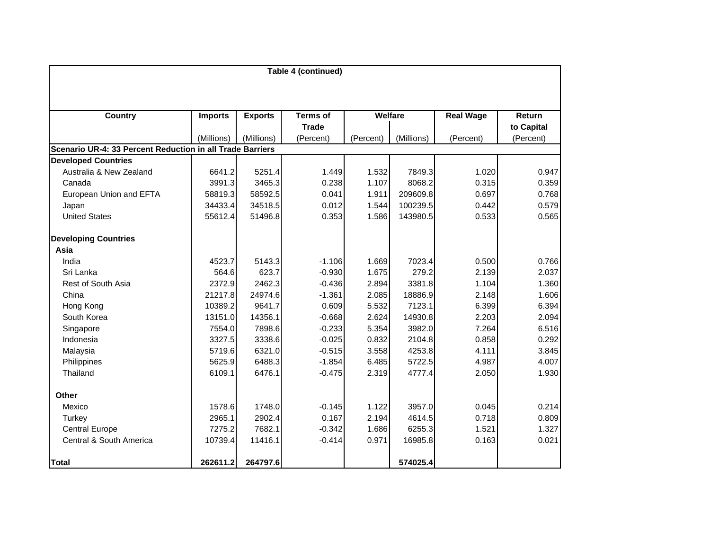| Table 4 (continued)                                       |                |                |                 |           |            |                  |            |  |  |
|-----------------------------------------------------------|----------------|----------------|-----------------|-----------|------------|------------------|------------|--|--|
|                                                           |                |                |                 |           |            |                  |            |  |  |
|                                                           |                |                |                 |           |            |                  |            |  |  |
| <b>Country</b>                                            | <b>Imports</b> | <b>Exports</b> | <b>Terms of</b> | Welfare   |            | <b>Real Wage</b> | Return     |  |  |
|                                                           |                |                | <b>Trade</b>    |           |            |                  | to Capital |  |  |
|                                                           | (Millions)     | (Millions)     | (Percent)       | (Percent) | (Millions) | (Percent)        | (Percent)  |  |  |
| Scenario UR-4: 33 Percent Reduction in all Trade Barriers |                |                |                 |           |            |                  |            |  |  |
| <b>Developed Countries</b>                                |                |                |                 |           |            |                  |            |  |  |
| Australia & New Zealand                                   | 6641.2         | 5251.4         | 1.449           | 1.532     | 7849.3     | 1.020            | 0.947      |  |  |
| Canada                                                    | 3991.3         | 3465.3         | 0.238           | 1.107     | 8068.2     | 0.315            | 0.359      |  |  |
| European Union and EFTA                                   | 58819.3        | 58592.5        | 0.041           | 1.911     | 209609.8   | 0.697            | 0.768      |  |  |
| Japan                                                     | 34433.4        | 34518.5        | 0.012           | 1.544     | 100239.5   | 0.442            | 0.579      |  |  |
| <b>United States</b>                                      | 55612.4        | 51496.8        | 0.353           | 1.586     | 143980.5   | 0.533            | 0.565      |  |  |
| <b>Developing Countries</b>                               |                |                |                 |           |            |                  |            |  |  |
| Asia                                                      |                |                |                 |           |            |                  |            |  |  |
| India                                                     | 4523.7         | 5143.3         | $-1.106$        | 1.669     | 7023.4     | 0.500            | 0.766      |  |  |
| Sri Lanka                                                 | 564.6          | 623.7          | $-0.930$        | 1.675     | 279.2      | 2.139            | 2.037      |  |  |
| <b>Rest of South Asia</b>                                 | 2372.9         | 2462.3         | $-0.436$        | 2.894     | 3381.8     | 1.104            | 1.360      |  |  |
| China                                                     | 21217.8        | 24974.6        | $-1.361$        | 2.085     | 18886.9    | 2.148            | 1.606      |  |  |
| Hong Kong                                                 | 10389.2        | 9641.7         | 0.609           | 5.532     | 7123.1     | 6.399            | 6.394      |  |  |
| South Korea                                               | 13151.0        | 14356.1        | $-0.668$        | 2.624     | 14930.8    | 2.203            | 2.094      |  |  |
| Singapore                                                 | 7554.0         | 7898.6         | $-0.233$        | 5.354     | 3982.0     | 7.264            | 6.516      |  |  |
| Indonesia                                                 | 3327.5         | 3338.6         | $-0.025$        | 0.832     | 2104.8     | 0.858            | 0.292      |  |  |
| Malaysia                                                  | 5719.6         | 6321.0         | $-0.515$        | 3.558     | 4253.8     | 4.111            | 3.845      |  |  |
| Philippines                                               | 5625.9         | 6488.3         | $-1.854$        | 6.485     | 5722.5     | 4.987            | 4.007      |  |  |
| Thailand                                                  | 6109.1         | 6476.1         | $-0.475$        | 2.319     | 4777.4     | 2.050            | 1.930      |  |  |
| Other                                                     |                |                |                 |           |            |                  |            |  |  |
| Mexico                                                    | 1578.6         | 1748.0         | $-0.145$        | 1.122     | 3957.0     | 0.045            | 0.214      |  |  |
| Turkey                                                    | 2965.1         | 2902.4         | 0.167           | 2.194     | 4614.5     | 0.718            | 0.809      |  |  |
| <b>Central Europe</b>                                     | 7275.2         | 7682.1         | $-0.342$        | 1.686     | 6255.3     | 1.521            | 1.327      |  |  |
| Central & South America                                   | 10739.4        | 11416.1        | $-0.414$        | 0.971     | 16985.8    | 0.163            | 0.021      |  |  |
| <b>Total</b>                                              | 262611.2       | 264797.6       |                 |           | 574025.4   |                  |            |  |  |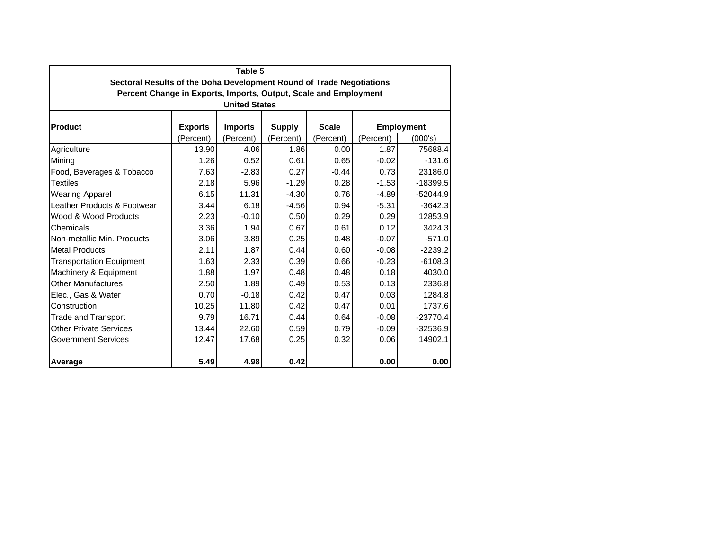| Table 5                                                              |                                                                                        |           |           |           |           |            |  |  |  |  |
|----------------------------------------------------------------------|----------------------------------------------------------------------------------------|-----------|-----------|-----------|-----------|------------|--|--|--|--|
| Sectoral Results of the Doha Development Round of Trade Negotiations |                                                                                        |           |           |           |           |            |  |  |  |  |
| Percent Change in Exports, Imports, Output, Scale and Employment     |                                                                                        |           |           |           |           |            |  |  |  |  |
| <b>United States</b>                                                 |                                                                                        |           |           |           |           |            |  |  |  |  |
| <b>Product</b>                                                       | <b>Scale</b><br><b>Employment</b><br><b>Exports</b><br><b>Imports</b><br><b>Supply</b> |           |           |           |           |            |  |  |  |  |
|                                                                      | (Percent)                                                                              | (Percent) | (Percent) | (Percent) | (Percent) | (000's)    |  |  |  |  |
| Agriculture                                                          | 13.90                                                                                  | 4.06      | 1.86      | 0.00      | 1.87      | 75688.4    |  |  |  |  |
| Mining                                                               | 1.26                                                                                   | 0.52      | 0.61      | 0.65      | $-0.02$   | $-131.6$   |  |  |  |  |
| Food, Beverages & Tobacco                                            | 7.63                                                                                   | $-2.83$   | 0.27      | $-0.44$   | 0.73      | 23186.0    |  |  |  |  |
| <b>Textiles</b>                                                      | 2.18                                                                                   | 5.96      | $-1.29$   | 0.28      | $-1.53$   | $-18399.5$ |  |  |  |  |
| <b>Wearing Apparel</b>                                               | 6.15                                                                                   | 11.31     | $-4.30$   | 0.76      | $-4.89$   | $-52044.9$ |  |  |  |  |
| Leather Products & Footwear                                          | 3.44                                                                                   | 6.18      | $-4.56$   | 0.94      | $-5.31$   | $-3642.3$  |  |  |  |  |
| Wood & Wood Products                                                 | 2.23                                                                                   | $-0.10$   | 0.50      | 0.29      | 0.29      | 12853.9    |  |  |  |  |
| Chemicals                                                            | 3.36                                                                                   | 1.94      | 0.67      | 0.61      | 0.12      | 3424.3     |  |  |  |  |
| Non-metallic Min. Products                                           | 3.06                                                                                   | 3.89      | 0.25      | 0.48      | $-0.07$   | $-571.0$   |  |  |  |  |
| <b>Metal Products</b>                                                | 2.11                                                                                   | 1.87      | 0.44      | 0.60      | $-0.08$   | $-2239.2$  |  |  |  |  |
| <b>Transportation Equipment</b>                                      | 1.63                                                                                   | 2.33      | 0.39      | 0.66      | $-0.23$   | $-6108.3$  |  |  |  |  |
| Machinery & Equipment                                                | 1.88                                                                                   | 1.97      | 0.48      | 0.48      | 0.18      | 4030.0     |  |  |  |  |
| <b>Other Manufactures</b>                                            | 2.50                                                                                   | 1.89      | 0.49      | 0.53      | 0.13      | 2336.8     |  |  |  |  |
| Elec., Gas & Water                                                   | 0.70                                                                                   | $-0.18$   | 0.42      | 0.47      | 0.03      | 1284.8     |  |  |  |  |
| Construction                                                         | 10.25                                                                                  | 11.80     | 0.42      | 0.47      | 0.01      | 1737.6     |  |  |  |  |
| <b>Trade and Transport</b>                                           | 9.79                                                                                   | 16.71     | 0.44      | 0.64      | $-0.08$   | $-23770.4$ |  |  |  |  |
| <b>Other Private Services</b>                                        | 13.44                                                                                  | 22.60     | 0.59      | 0.79      | $-0.09$   | $-32536.9$ |  |  |  |  |
| <b>Government Services</b>                                           | 12.47                                                                                  | 17.68     | 0.25      | 0.32      | 0.06      | 14902.1    |  |  |  |  |
|                                                                      |                                                                                        |           |           |           |           |            |  |  |  |  |
| Average                                                              | 5.49                                                                                   | 4.98      | 0.42      |           | 0.00      | 0.00       |  |  |  |  |